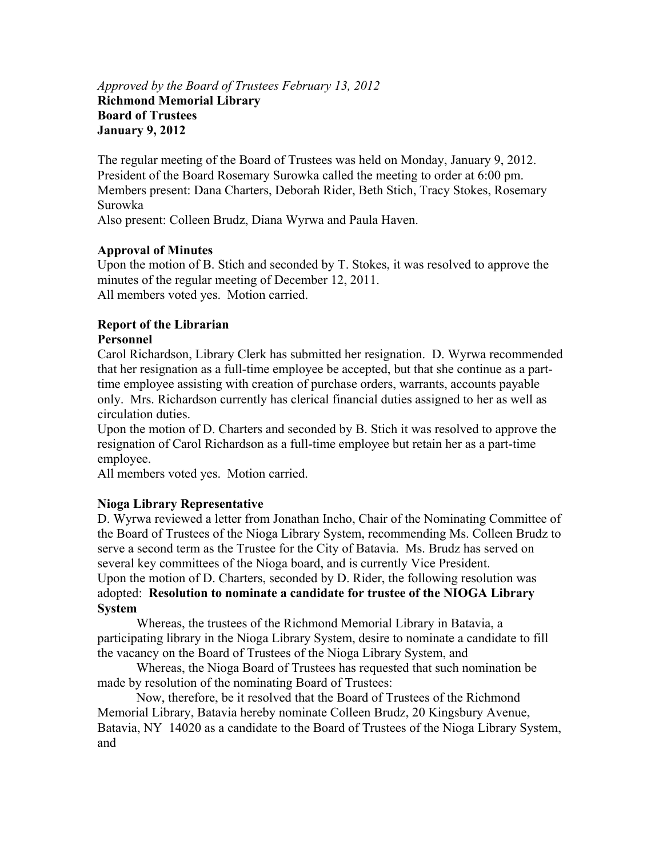#### *Approved by the Board of Trustees February 13, 2012*  **Richmond Memorial Library Board of Trustees January 9, 2012**

The regular meeting of the Board of Trustees was held on Monday, January 9, 2012. President of the Board Rosemary Surowka called the meeting to order at 6:00 pm. Members present: Dana Charters, Deborah Rider, Beth Stich, Tracy Stokes, Rosemary Surowka

Also present: Colleen Brudz, Diana Wyrwa and Paula Haven.

# **Approval of Minutes**

Upon the motion of B. Stich and seconded by T. Stokes, it was resolved to approve the minutes of the regular meeting of December 12, 2011. All members voted yes. Motion carried.

# **Report of the Librarian**

### **Personnel**

Carol Richardson, Library Clerk has submitted her resignation. D. Wyrwa recommended that her resignation as a full-time employee be accepted, but that she continue as a parttime employee assisting with creation of purchase orders, warrants, accounts payable only. Mrs. Richardson currently has clerical financial duties assigned to her as well as circulation duties.

Upon the motion of D. Charters and seconded by B. Stich it was resolved to approve the resignation of Carol Richardson as a full-time employee but retain her as a part-time employee.

All members voted yes. Motion carried.

# **Nioga Library Representative**

D. Wyrwa reviewed a letter from Jonathan Incho, Chair of the Nominating Committee of the Board of Trustees of the Nioga Library System, recommending Ms. Colleen Brudz to serve a second term as the Trustee for the City of Batavia. Ms. Brudz has served on several key committees of the Nioga board, and is currently Vice President. Upon the motion of D. Charters, seconded by D. Rider, the following resolution was adopted: **Resolution to nominate a candidate for trustee of the NIOGA Library System** 

Whereas, the trustees of the Richmond Memorial Library in Batavia, a participating library in the Nioga Library System, desire to nominate a candidate to fill the vacancy on the Board of Trustees of the Nioga Library System, and

Whereas, the Nioga Board of Trustees has requested that such nomination be made by resolution of the nominating Board of Trustees:

Now, therefore, be it resolved that the Board of Trustees of the Richmond Memorial Library, Batavia hereby nominate Colleen Brudz, 20 Kingsbury Avenue, Batavia, NY 14020 as a candidate to the Board of Trustees of the Nioga Library System, and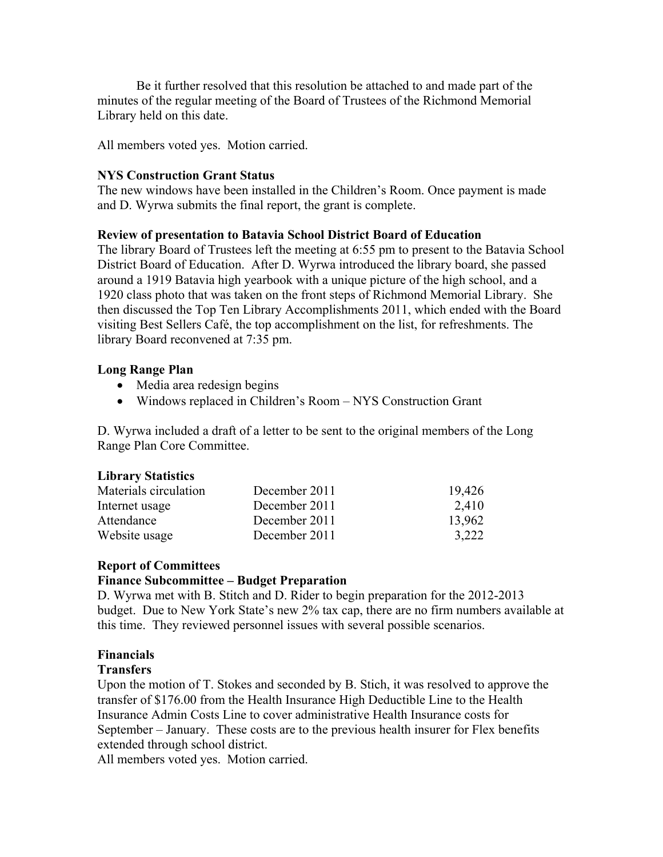Be it further resolved that this resolution be attached to and made part of the minutes of the regular meeting of the Board of Trustees of the Richmond Memorial Library held on this date.

All members voted yes. Motion carried.

### **NYS Construction Grant Status**

The new windows have been installed in the Children's Room. Once payment is made and D. Wyrwa submits the final report, the grant is complete.

### **Review of presentation to Batavia School District Board of Education**

The library Board of Trustees left the meeting at 6:55 pm to present to the Batavia School District Board of Education. After D. Wyrwa introduced the library board, she passed around a 1919 Batavia high yearbook with a unique picture of the high school, and a 1920 class photo that was taken on the front steps of Richmond Memorial Library. She then discussed the Top Ten Library Accomplishments 2011, which ended with the Board visiting Best Sellers Café, the top accomplishment on the list, for refreshments. The library Board reconvened at 7:35 pm.

### **Long Range Plan**

- Media area redesign begins
- Windows replaced in Children's Room NYS Construction Grant

D. Wyrwa included a draft of a letter to be sent to the original members of the Long Range Plan Core Committee.

#### **Library Statistics**

| Materials circulation | December 2011 | 19,426 |
|-----------------------|---------------|--------|
| Internet usage        | December 2011 | 2,410  |
| Attendance            | December 2011 | 13,962 |
| Website usage         | December 2011 | 3,222  |

# **Report of Committees**

#### **Finance Subcommittee – Budget Preparation**

D. Wyrwa met with B. Stitch and D. Rider to begin preparation for the 2012-2013 budget. Due to New York State's new 2% tax cap, there are no firm numbers available at this time. They reviewed personnel issues with several possible scenarios.

# **Financials**

# **Transfers**

Upon the motion of T. Stokes and seconded by B. Stich, it was resolved to approve the transfer of \$176.00 from the Health Insurance High Deductible Line to the Health Insurance Admin Costs Line to cover administrative Health Insurance costs for September – January. These costs are to the previous health insurer for Flex benefits extended through school district.

All members voted yes. Motion carried.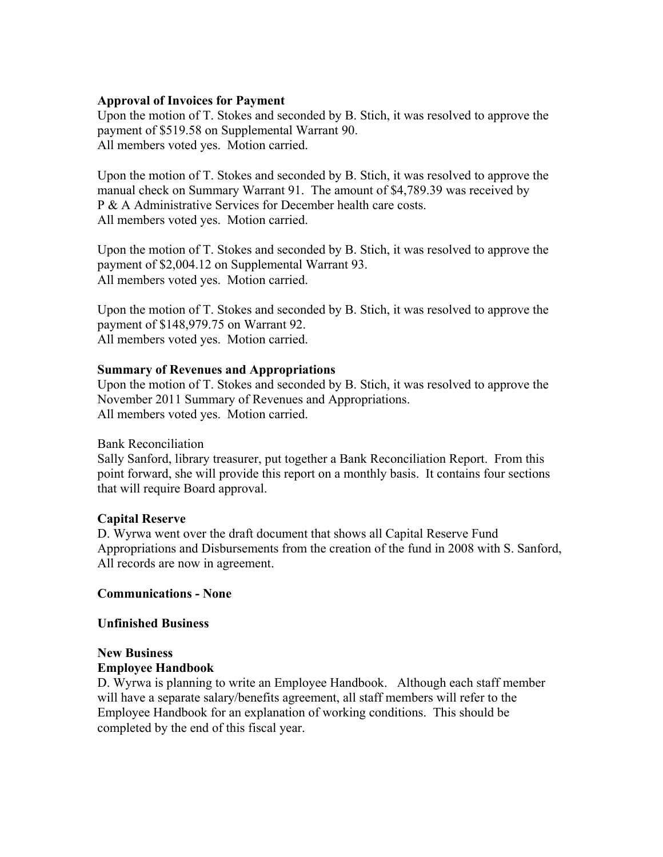### **Approval of Invoices for Payment**

Upon the motion of T. Stokes and seconded by B. Stich, it was resolved to approve the payment of \$519.58 on Supplemental Warrant 90. All members voted yes. Motion carried.

Upon the motion of T. Stokes and seconded by B. Stich, it was resolved to approve the manual check on Summary Warrant 91. The amount of \$4,789.39 was received by P & A Administrative Services for December health care costs. All members voted yes. Motion carried.

Upon the motion of T. Stokes and seconded by B. Stich, it was resolved to approve the payment of \$2,004.12 on Supplemental Warrant 93. All members voted yes. Motion carried.

Upon the motion of T. Stokes and seconded by B. Stich, it was resolved to approve the payment of \$148,979.75 on Warrant 92. All members voted yes. Motion carried.

#### **Summary of Revenues and Appropriations**

Upon the motion of T. Stokes and seconded by B. Stich, it was resolved to approve the November 2011 Summary of Revenues and Appropriations. All members voted yes. Motion carried.

Bank Reconciliation

Sally Sanford, library treasurer, put together a Bank Reconciliation Report. From this point forward, she will provide this report on a monthly basis. It contains four sections that will require Board approval.

#### **Capital Reserve**

D. Wyrwa went over the draft document that shows all Capital Reserve Fund Appropriations and Disbursements from the creation of the fund in 2008 with S. Sanford, All records are now in agreement.

#### **Communications - None**

#### **Unfinished Business**

#### **New Business Employee Handbook**

D. Wyrwa is planning to write an Employee Handbook. Although each staff member will have a separate salary/benefits agreement, all staff members will refer to the Employee Handbook for an explanation of working conditions. This should be completed by the end of this fiscal year.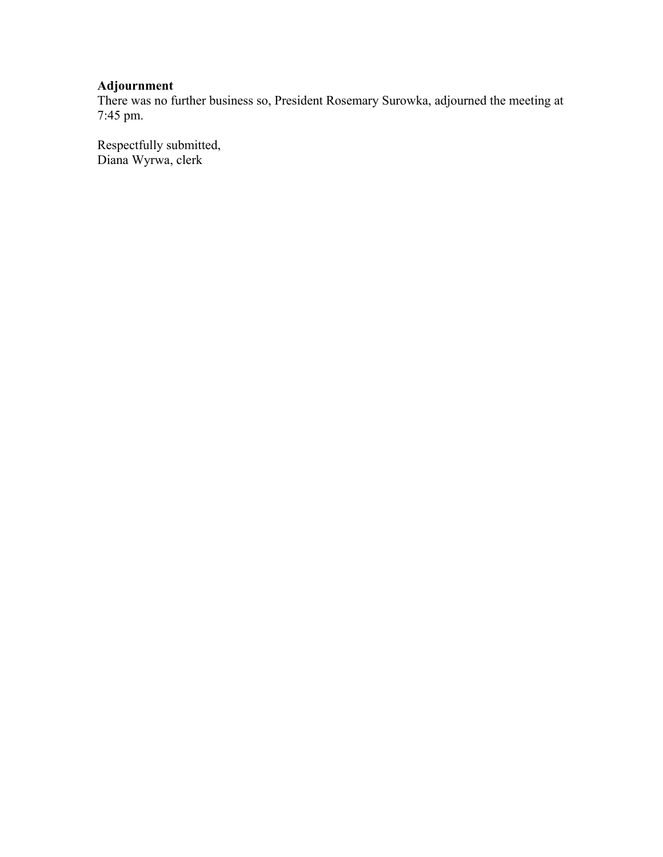# **Adjournment**

There was no further business so, President Rosemary Surowka, adjourned the meeting at 7:45 pm.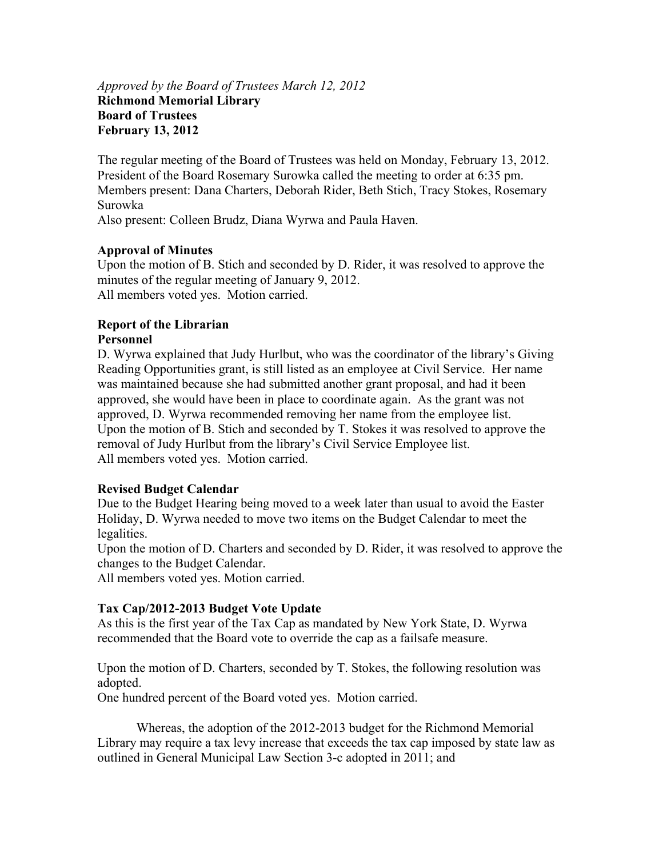#### *Approved by the Board of Trustees March 12, 2012* **Richmond Memorial Library Board of Trustees February 13, 2012**

The regular meeting of the Board of Trustees was held on Monday, February 13, 2012. President of the Board Rosemary Surowka called the meeting to order at 6:35 pm. Members present: Dana Charters, Deborah Rider, Beth Stich, Tracy Stokes, Rosemary Surowka

Also present: Colleen Brudz, Diana Wyrwa and Paula Haven.

# **Approval of Minutes**

Upon the motion of B. Stich and seconded by D. Rider, it was resolved to approve the minutes of the regular meeting of January 9, 2012. All members voted yes. Motion carried.

# **Report of the Librarian**

# **Personnel**

D. Wyrwa explained that Judy Hurlbut, who was the coordinator of the library's Giving Reading Opportunities grant, is still listed as an employee at Civil Service. Her name was maintained because she had submitted another grant proposal, and had it been approved, she would have been in place to coordinate again. As the grant was not approved, D. Wyrwa recommended removing her name from the employee list. Upon the motion of B. Stich and seconded by T. Stokes it was resolved to approve the removal of Judy Hurlbut from the library's Civil Service Employee list. All members voted yes. Motion carried.

# **Revised Budget Calendar**

Due to the Budget Hearing being moved to a week later than usual to avoid the Easter Holiday, D. Wyrwa needed to move two items on the Budget Calendar to meet the legalities.

Upon the motion of D. Charters and seconded by D. Rider, it was resolved to approve the changes to the Budget Calendar.

All members voted yes. Motion carried.

# **Tax Cap/2012-2013 Budget Vote Update**

As this is the first year of the Tax Cap as mandated by New York State, D. Wyrwa recommended that the Board vote to override the cap as a failsafe measure.

Upon the motion of D. Charters, seconded by T. Stokes, the following resolution was adopted.

One hundred percent of the Board voted yes. Motion carried.

Whereas, the adoption of the 2012-2013 budget for the Richmond Memorial Library may require a tax levy increase that exceeds the tax cap imposed by state law as outlined in General Municipal Law Section 3-c adopted in 2011; and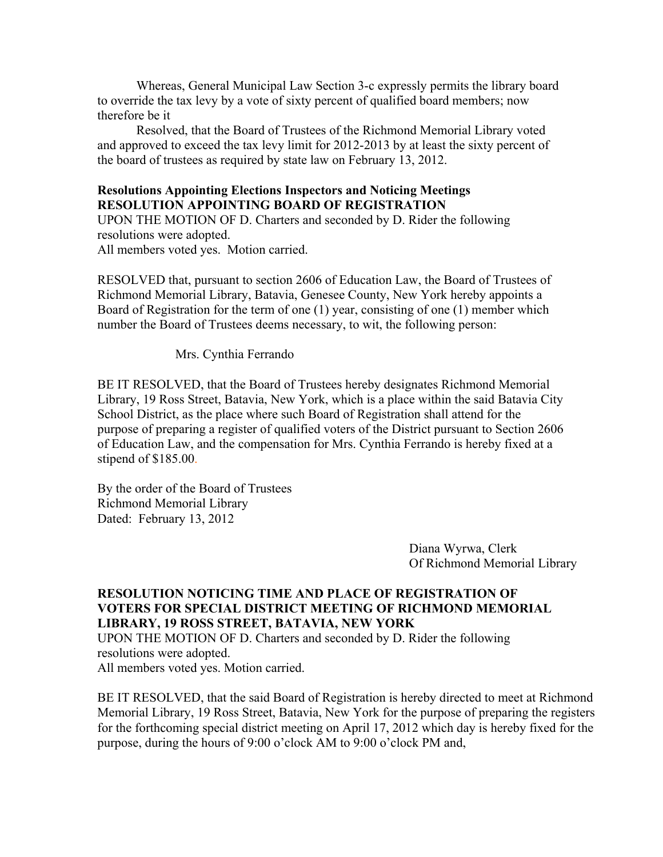Whereas, General Municipal Law Section 3-c expressly permits the library board to override the tax levy by a vote of sixty percent of qualified board members; now therefore be it

Resolved, that the Board of Trustees of the Richmond Memorial Library voted and approved to exceed the tax levy limit for 2012-2013 by at least the sixty percent of the board of trustees as required by state law on February 13, 2012.

#### **Resolutions Appointing Elections Inspectors and Noticing Meetings RESOLUTION APPOINTING BOARD OF REGISTRATION**

UPON THE MOTION OF D. Charters and seconded by D. Rider the following resolutions were adopted.

All members voted yes. Motion carried.

RESOLVED that, pursuant to section 2606 of Education Law, the Board of Trustees of Richmond Memorial Library, Batavia, Genesee County, New York hereby appoints a Board of Registration for the term of one (1) year, consisting of one (1) member which number the Board of Trustees deems necessary, to wit, the following person:

Mrs. Cynthia Ferrando

BE IT RESOLVED, that the Board of Trustees hereby designates Richmond Memorial Library, 19 Ross Street, Batavia, New York, which is a place within the said Batavia City School District, as the place where such Board of Registration shall attend for the purpose of preparing a register of qualified voters of the District pursuant to Section 2606 of Education Law, and the compensation for Mrs. Cynthia Ferrando is hereby fixed at a stipend of \$185.00.

By the order of the Board of Trustees Richmond Memorial Library Dated: February 13, 2012

> Diana Wyrwa, Clerk Of Richmond Memorial Library

#### **RESOLUTION NOTICING TIME AND PLACE OF REGISTRATION OF VOTERS FOR SPECIAL DISTRICT MEETING OF RICHMOND MEMORIAL LIBRARY, 19 ROSS STREET, BATAVIA, NEW YORK**

UPON THE MOTION OF D. Charters and seconded by D. Rider the following resolutions were adopted.

All members voted yes. Motion carried.

BE IT RESOLVED, that the said Board of Registration is hereby directed to meet at Richmond Memorial Library, 19 Ross Street, Batavia, New York for the purpose of preparing the registers for the forthcoming special district meeting on April 17, 2012 which day is hereby fixed for the purpose, during the hours of 9:00 o'clock AM to 9:00 o'clock PM and,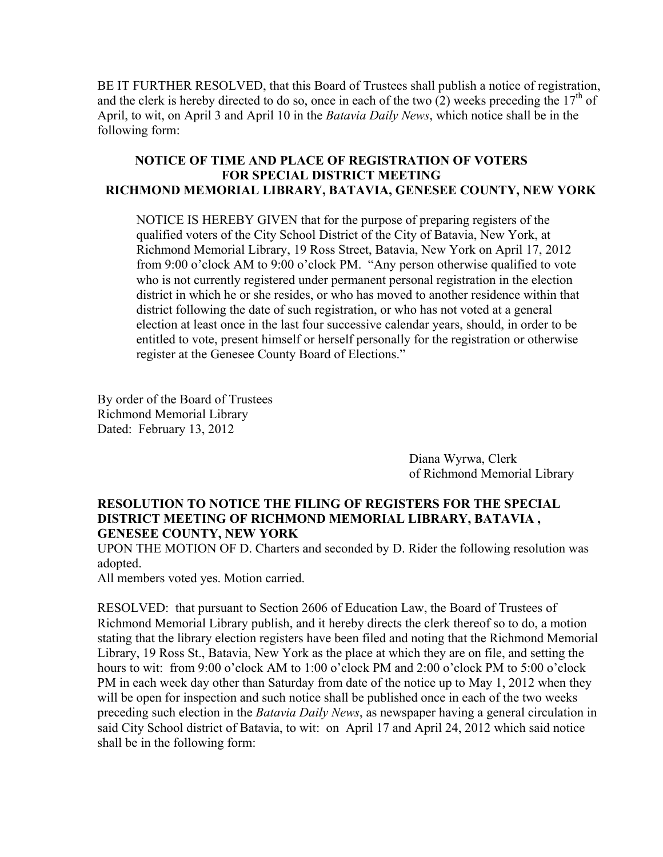BE IT FURTHER RESOLVED, that this Board of Trustees shall publish a notice of registration, and the clerk is hereby directed to do so, once in each of the two (2) weeks preceding the  $17<sup>th</sup>$  of April, to wit, on April 3 and April 10 in the *Batavia Daily News*, which notice shall be in the following form:

# **NOTICE OF TIME AND PLACE OF REGISTRATION OF VOTERS FOR SPECIAL DISTRICT MEETING RICHMOND MEMORIAL LIBRARY, BATAVIA, GENESEE COUNTY, NEW YORK**

NOTICE IS HEREBY GIVEN that for the purpose of preparing registers of the qualified voters of the City School District of the City of Batavia, New York, at Richmond Memorial Library, 19 Ross Street, Batavia, New York on April 17, 2012 from 9:00 o'clock AM to 9:00 o'clock PM. "Any person otherwise qualified to vote who is not currently registered under permanent personal registration in the election district in which he or she resides, or who has moved to another residence within that district following the date of such registration, or who has not voted at a general election at least once in the last four successive calendar years, should, in order to be entitled to vote, present himself or herself personally for the registration or otherwise register at the Genesee County Board of Elections."

By order of the Board of Trustees Richmond Memorial Library Dated: February 13, 2012

> Diana Wyrwa, Clerk of Richmond Memorial Library

# **RESOLUTION TO NOTICE THE FILING OF REGISTERS FOR THE SPECIAL DISTRICT MEETING OF RICHMOND MEMORIAL LIBRARY, BATAVIA , GENESEE COUNTY, NEW YORK**

UPON THE MOTION OF D. Charters and seconded by D. Rider the following resolution was adopted.

All members voted yes. Motion carried.

RESOLVED: that pursuant to Section 2606 of Education Law, the Board of Trustees of Richmond Memorial Library publish, and it hereby directs the clerk thereof so to do, a motion stating that the library election registers have been filed and noting that the Richmond Memorial Library, 19 Ross St., Batavia, New York as the place at which they are on file, and setting the hours to wit: from 9:00 o'clock AM to 1:00 o'clock PM and 2:00 o'clock PM to 5:00 o'clock PM in each week day other than Saturday from date of the notice up to May 1, 2012 when they will be open for inspection and such notice shall be published once in each of the two weeks preceding such election in the *Batavia Daily News*, as newspaper having a general circulation in said City School district of Batavia, to wit: on April 17 and April 24, 2012 which said notice shall be in the following form: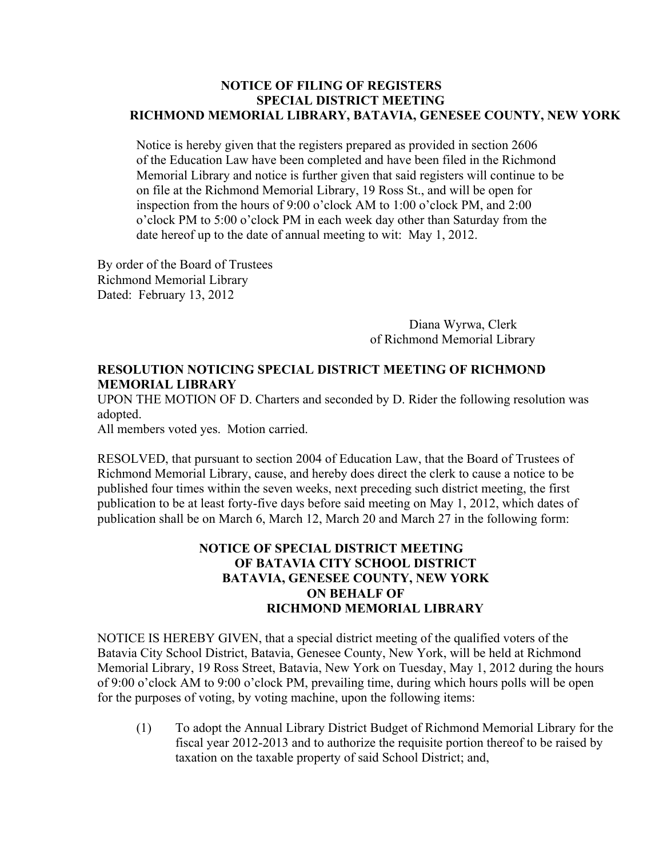#### **NOTICE OF FILING OF REGISTERS SPECIAL DISTRICT MEETING RICHMOND MEMORIAL LIBRARY, BATAVIA, GENESEE COUNTY, NEW YORK**

 Notice is hereby given that the registers prepared as provided in section 2606 of the Education Law have been completed and have been filed in the Richmond Memorial Library and notice is further given that said registers will continue to be on file at the Richmond Memorial Library, 19 Ross St., and will be open for inspection from the hours of 9:00 o'clock AM to 1:00 o'clock PM, and 2:00 o'clock PM to 5:00 o'clock PM in each week day other than Saturday from the date hereof up to the date of annual meeting to wit: May 1, 2012.

By order of the Board of Trustees Richmond Memorial Library Dated: February 13, 2012

> Diana Wyrwa, Clerk of Richmond Memorial Library

# **RESOLUTION NOTICING SPECIAL DISTRICT MEETING OF RICHMOND MEMORIAL LIBRARY**

UPON THE MOTION OF D. Charters and seconded by D. Rider the following resolution was adopted.

All members voted yes. Motion carried.

RESOLVED, that pursuant to section 2004 of Education Law, that the Board of Trustees of Richmond Memorial Library, cause, and hereby does direct the clerk to cause a notice to be published four times within the seven weeks, next preceding such district meeting, the first publication to be at least forty-five days before said meeting on May 1, 2012, which dates of publication shall be on March 6, March 12, March 20 and March 27 in the following form:

## **NOTICE OF SPECIAL DISTRICT MEETING OF BATAVIA CITY SCHOOL DISTRICT BATAVIA, GENESEE COUNTY, NEW YORK ON BEHALF OF RICHMOND MEMORIAL LIBRARY**

NOTICE IS HEREBY GIVEN, that a special district meeting of the qualified voters of the Batavia City School District, Batavia, Genesee County, New York, will be held at Richmond Memorial Library, 19 Ross Street, Batavia, New York on Tuesday, May 1, 2012 during the hours of 9:00 o'clock AM to 9:00 o'clock PM, prevailing time, during which hours polls will be open for the purposes of voting, by voting machine, upon the following items:

(1) To adopt the Annual Library District Budget of Richmond Memorial Library for the fiscal year 2012-2013 and to authorize the requisite portion thereof to be raised by taxation on the taxable property of said School District; and,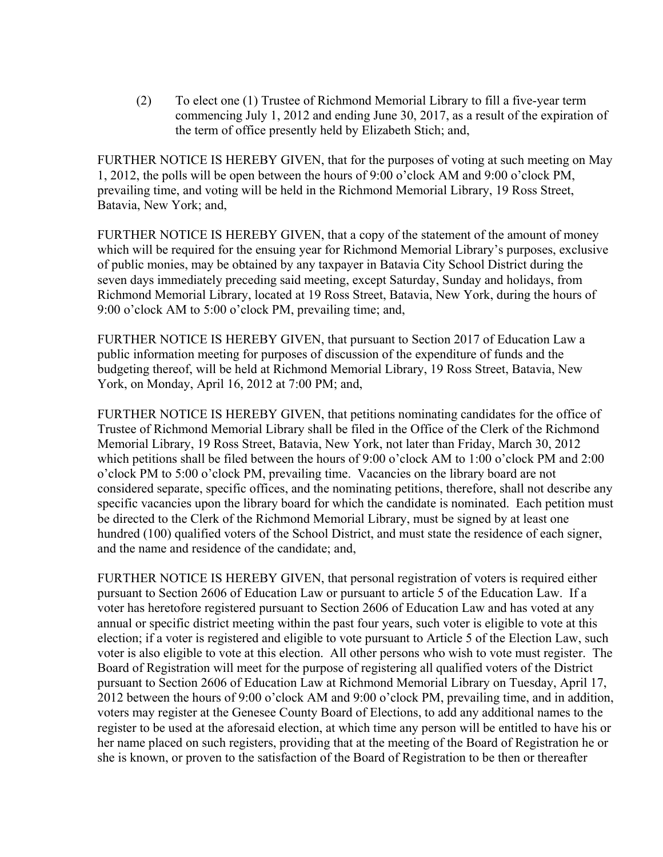(2) To elect one (1) Trustee of Richmond Memorial Library to fill a five-year term commencing July 1, 2012 and ending June 30, 2017, as a result of the expiration of the term of office presently held by Elizabeth Stich; and,

FURTHER NOTICE IS HEREBY GIVEN, that for the purposes of voting at such meeting on May 1, 2012, the polls will be open between the hours of 9:00 o'clock AM and 9:00 o'clock PM, prevailing time, and voting will be held in the Richmond Memorial Library, 19 Ross Street, Batavia, New York; and,

FURTHER NOTICE IS HEREBY GIVEN, that a copy of the statement of the amount of money which will be required for the ensuing year for Richmond Memorial Library's purposes, exclusive of public monies, may be obtained by any taxpayer in Batavia City School District during the seven days immediately preceding said meeting, except Saturday, Sunday and holidays, from Richmond Memorial Library, located at 19 Ross Street, Batavia, New York, during the hours of 9:00 o'clock AM to 5:00 o'clock PM, prevailing time; and,

FURTHER NOTICE IS HEREBY GIVEN, that pursuant to Section 2017 of Education Law a public information meeting for purposes of discussion of the expenditure of funds and the budgeting thereof, will be held at Richmond Memorial Library, 19 Ross Street, Batavia, New York, on Monday, April 16, 2012 at 7:00 PM; and,

FURTHER NOTICE IS HEREBY GIVEN, that petitions nominating candidates for the office of Trustee of Richmond Memorial Library shall be filed in the Office of the Clerk of the Richmond Memorial Library, 19 Ross Street, Batavia, New York, not later than Friday, March 30, 2012 which petitions shall be filed between the hours of 9:00 o'clock AM to 1:00 o'clock PM and 2:00 o'clock PM to 5:00 o'clock PM, prevailing time. Vacancies on the library board are not considered separate, specific offices, and the nominating petitions, therefore, shall not describe any specific vacancies upon the library board for which the candidate is nominated. Each petition must be directed to the Clerk of the Richmond Memorial Library, must be signed by at least one hundred (100) qualified voters of the School District, and must state the residence of each signer, and the name and residence of the candidate; and,

FURTHER NOTICE IS HEREBY GIVEN, that personal registration of voters is required either pursuant to Section 2606 of Education Law or pursuant to article 5 of the Education Law. If a voter has heretofore registered pursuant to Section 2606 of Education Law and has voted at any annual or specific district meeting within the past four years, such voter is eligible to vote at this election; if a voter is registered and eligible to vote pursuant to Article 5 of the Election Law, such voter is also eligible to vote at this election. All other persons who wish to vote must register. The Board of Registration will meet for the purpose of registering all qualified voters of the District pursuant to Section 2606 of Education Law at Richmond Memorial Library on Tuesday, April 17, 2012 between the hours of 9:00 o'clock AM and 9:00 o'clock PM, prevailing time, and in addition, voters may register at the Genesee County Board of Elections, to add any additional names to the register to be used at the aforesaid election, at which time any person will be entitled to have his or her name placed on such registers, providing that at the meeting of the Board of Registration he or she is known, or proven to the satisfaction of the Board of Registration to be then or thereafter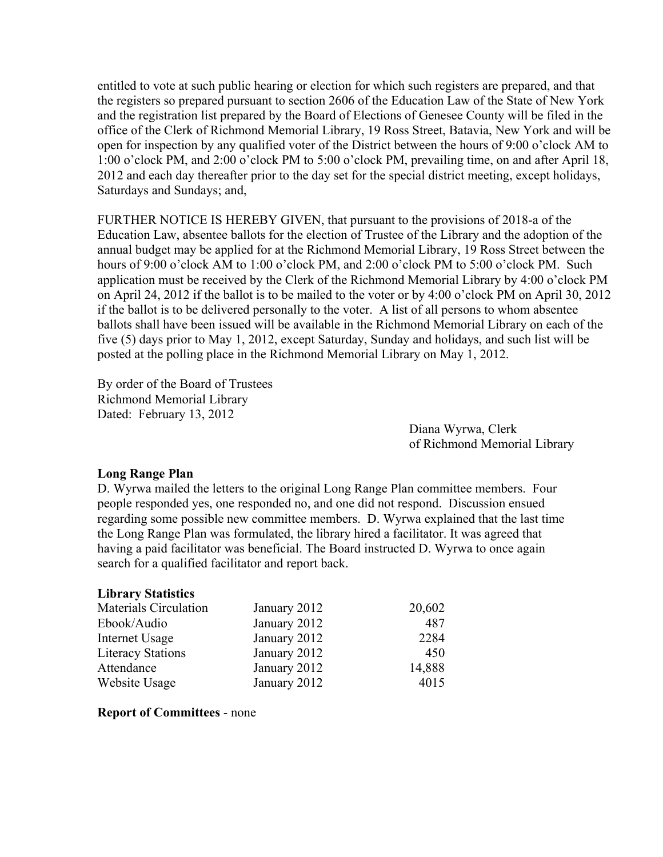entitled to vote at such public hearing or election for which such registers are prepared, and that the registers so prepared pursuant to section 2606 of the Education Law of the State of New York and the registration list prepared by the Board of Elections of Genesee County will be filed in the office of the Clerk of Richmond Memorial Library, 19 Ross Street, Batavia, New York and will be open for inspection by any qualified voter of the District between the hours of 9:00 o'clock AM to 1:00 o'clock PM, and 2:00 o'clock PM to 5:00 o'clock PM, prevailing time, on and after April 18, 2012 and each day thereafter prior to the day set for the special district meeting, except holidays, Saturdays and Sundays; and,

FURTHER NOTICE IS HEREBY GIVEN, that pursuant to the provisions of 2018-a of the Education Law, absentee ballots for the election of Trustee of the Library and the adoption of the annual budget may be applied for at the Richmond Memorial Library, 19 Ross Street between the hours of 9:00 o'clock AM to 1:00 o'clock PM, and 2:00 o'clock PM to 5:00 o'clock PM. Such application must be received by the Clerk of the Richmond Memorial Library by 4:00 o'clock PM on April 24, 2012 if the ballot is to be mailed to the voter or by 4:00 o'clock PM on April 30, 2012 if the ballot is to be delivered personally to the voter. A list of all persons to whom absentee ballots shall have been issued will be available in the Richmond Memorial Library on each of the five (5) days prior to May 1, 2012, except Saturday, Sunday and holidays, and such list will be posted at the polling place in the Richmond Memorial Library on May 1, 2012.

By order of the Board of Trustees Richmond Memorial Library Dated: February 13, 2012

> Diana Wyrwa, Clerk of Richmond Memorial Library

#### **Long Range Plan**

D. Wyrwa mailed the letters to the original Long Range Plan committee members. Four people responded yes, one responded no, and one did not respond. Discussion ensued regarding some possible new committee members. D. Wyrwa explained that the last time the Long Range Plan was formulated, the library hired a facilitator. It was agreed that having a paid facilitator was beneficial. The Board instructed D. Wyrwa to once again search for a qualified facilitator and report back.

#### **Library Statistics**

| <b>Materials Circulation</b> | January 2012 | 20,602 |
|------------------------------|--------------|--------|
| Ebook/Audio                  | January 2012 | 487    |
| Internet Usage               | January 2012 | 2284   |
| <b>Literacy Stations</b>     | January 2012 | 450    |
| Attendance                   | January 2012 | 14,888 |
| Website Usage                | January 2012 | 4015   |

#### **Report of Committees** - none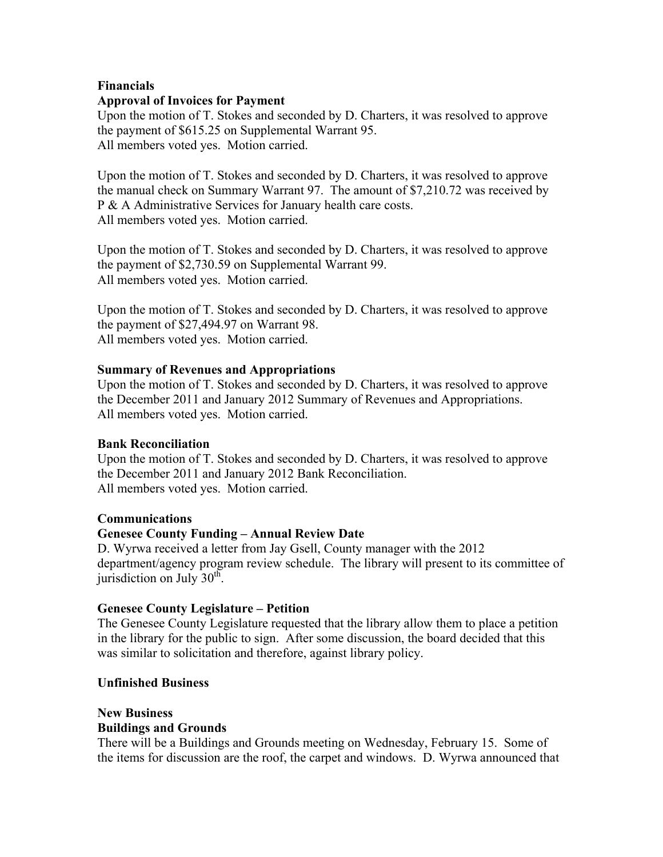## **Financials Approval of Invoices for Payment**

Upon the motion of T. Stokes and seconded by D. Charters, it was resolved to approve the payment of \$615.25 on Supplemental Warrant 95. All members voted yes. Motion carried.

Upon the motion of T. Stokes and seconded by D. Charters, it was resolved to approve the manual check on Summary Warrant 97. The amount of \$7,210.72 was received by P & A Administrative Services for January health care costs. All members voted yes. Motion carried.

Upon the motion of T. Stokes and seconded by D. Charters, it was resolved to approve the payment of \$2,730.59 on Supplemental Warrant 99. All members voted yes. Motion carried.

Upon the motion of T. Stokes and seconded by D. Charters, it was resolved to approve the payment of \$27,494.97 on Warrant 98. All members voted yes. Motion carried.

# **Summary of Revenues and Appropriations**

Upon the motion of T. Stokes and seconded by D. Charters, it was resolved to approve the December 2011 and January 2012 Summary of Revenues and Appropriations. All members voted yes. Motion carried.

# **Bank Reconciliation**

Upon the motion of T. Stokes and seconded by D. Charters, it was resolved to approve the December 2011 and January 2012 Bank Reconciliation. All members voted yes. Motion carried.

# **Communications**

# **Genesee County Funding – Annual Review Date**

D. Wyrwa received a letter from Jay Gsell, County manager with the 2012 department/agency program review schedule. The library will present to its committee of jurisdiction on July  $30<sup>th</sup>$ .

# **Genesee County Legislature – Petition**

The Genesee County Legislature requested that the library allow them to place a petition in the library for the public to sign. After some discussion, the board decided that this was similar to solicitation and therefore, against library policy.

# **Unfinished Business**

#### **New Business Buildings and Grounds**

There will be a Buildings and Grounds meeting on Wednesday, February 15. Some of the items for discussion are the roof, the carpet and windows. D. Wyrwa announced that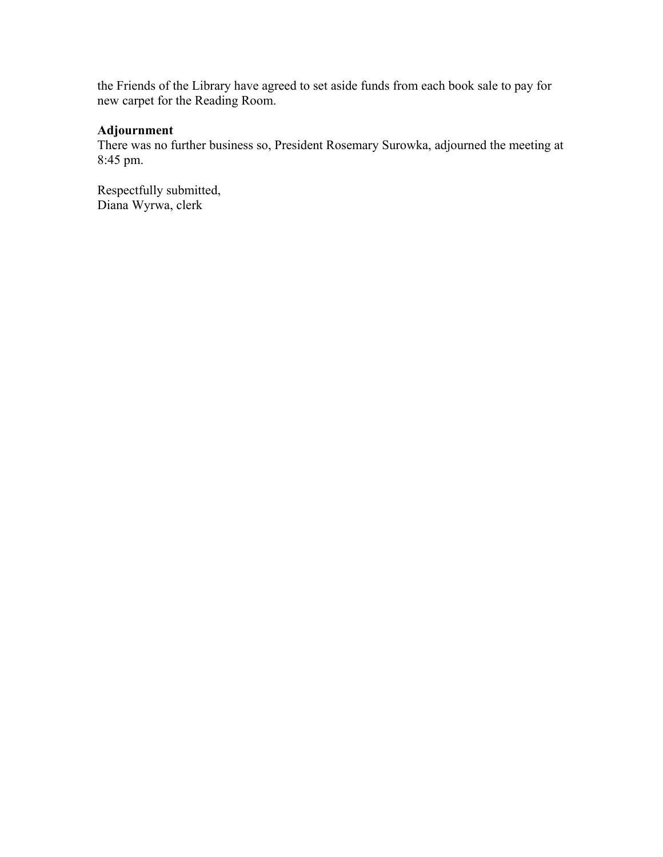the Friends of the Library have agreed to set aside funds from each book sale to pay for new carpet for the Reading Room.

## **Adjournment**

There was no further business so, President Rosemary Surowka, adjourned the meeting at 8:45 pm.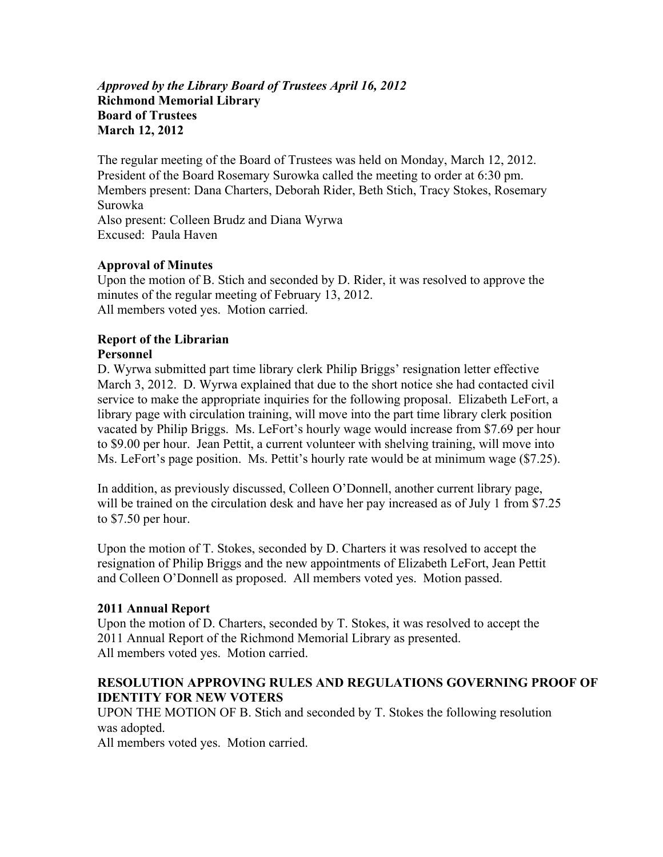## *Approved by the Library Board of Trustees April 16, 2012*  **Richmond Memorial Library Board of Trustees March 12, 2012**

The regular meeting of the Board of Trustees was held on Monday, March 12, 2012. President of the Board Rosemary Surowka called the meeting to order at 6:30 pm. Members present: Dana Charters, Deborah Rider, Beth Stich, Tracy Stokes, Rosemary Surowka Also present: Colleen Brudz and Diana Wyrwa Excused: Paula Haven

# **Approval of Minutes**

Upon the motion of B. Stich and seconded by D. Rider, it was resolved to approve the minutes of the regular meeting of February 13, 2012. All members voted yes. Motion carried.

#### **Report of the Librarian Personnel**

D. Wyrwa submitted part time library clerk Philip Briggs' resignation letter effective March 3, 2012. D. Wyrwa explained that due to the short notice she had contacted civil service to make the appropriate inquiries for the following proposal. Elizabeth LeFort, a library page with circulation training, will move into the part time library clerk position vacated by Philip Briggs. Ms. LeFort's hourly wage would increase from \$7.69 per hour to \$9.00 per hour. Jean Pettit, a current volunteer with shelving training, will move into Ms. LeFort's page position. Ms. Pettit's hourly rate would be at minimum wage (\$7.25).

In addition, as previously discussed, Colleen O'Donnell, another current library page, will be trained on the circulation desk and have her pay increased as of July 1 from \$7.25 to \$7.50 per hour.

Upon the motion of T. Stokes, seconded by D. Charters it was resolved to accept the resignation of Philip Briggs and the new appointments of Elizabeth LeFort, Jean Pettit and Colleen O'Donnell as proposed. All members voted yes. Motion passed.

# **2011 Annual Report**

Upon the motion of D. Charters, seconded by T. Stokes, it was resolved to accept the 2011 Annual Report of the Richmond Memorial Library as presented. All members voted yes. Motion carried.

### **RESOLUTION APPROVING RULES AND REGULATIONS GOVERNING PROOF OF IDENTITY FOR NEW VOTERS**

UPON THE MOTION OF B. Stich and seconded by T. Stokes the following resolution was adopted.

All members voted yes. Motion carried.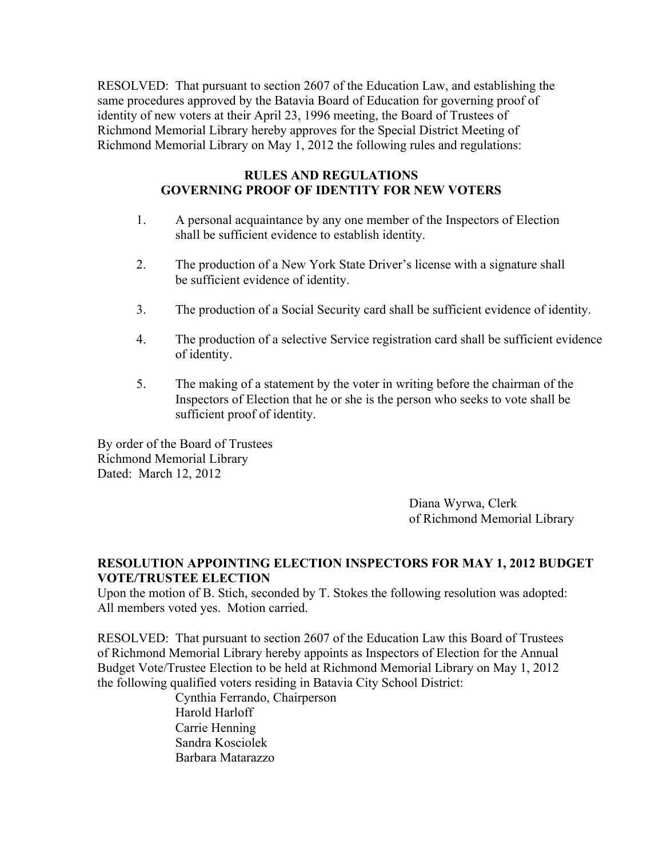RESOLVED: That pursuant to section 2607 of the Education Law, and establishing the same procedures approved by the Batavia Board of Education for governing proof of identity of new voters at their April 23, 1996 meeting, the Board of Trustees of Richmond Memorial Library hereby approves for the Special District Meeting of Richmond Memorial Library on May 1, 2012 the following rules and regulations:

## **RULES AND REGULATIONS GOVERNING PROOF OF IDENTITY FOR NEW VOTERS**

- 1. A personal acquaintance by any one member of the Inspectors of Election shall be sufficient evidence to establish identity.
- 2. The production of a New York State Driver's license with a signature shall be sufficient evidence of identity.
- 3. The production of a Social Security card shall be sufficient evidence of identity.
- 4. The production of a selective Service registration card shall be sufficient evidence of identity.
- 5. The making of a statement by the voter in writing before the chairman of the Inspectors of Election that he or she is the person who seeks to vote shall be sufficient proof of identity.

By order of the Board of Trustees Richmond Memorial Library Dated: March 12, 2012

> Diana Wyrwa, Clerk of Richmond Memorial Library

# **RESOLUTION APPOINTING ELECTION INSPECTORS FOR MAY 1, 2012 BUDGET VOTE/TRUSTEE ELECTION**

Upon the motion of B. Stich, seconded by T. Stokes the following resolution was adopted: All members voted yes. Motion carried.

RESOLVED: That pursuant to section 2607 of the Education Law this Board of Trustees of Richmond Memorial Library hereby appoints as Inspectors of Election for the Annual Budget Vote/Trustee Election to be held at Richmond Memorial Library on May 1, 2012 the following qualified voters residing in Batavia City School District:

 Cynthia Ferrando, Chairperson Harold Harloff Carrie Henning Sandra Kosciolek Barbara Matarazzo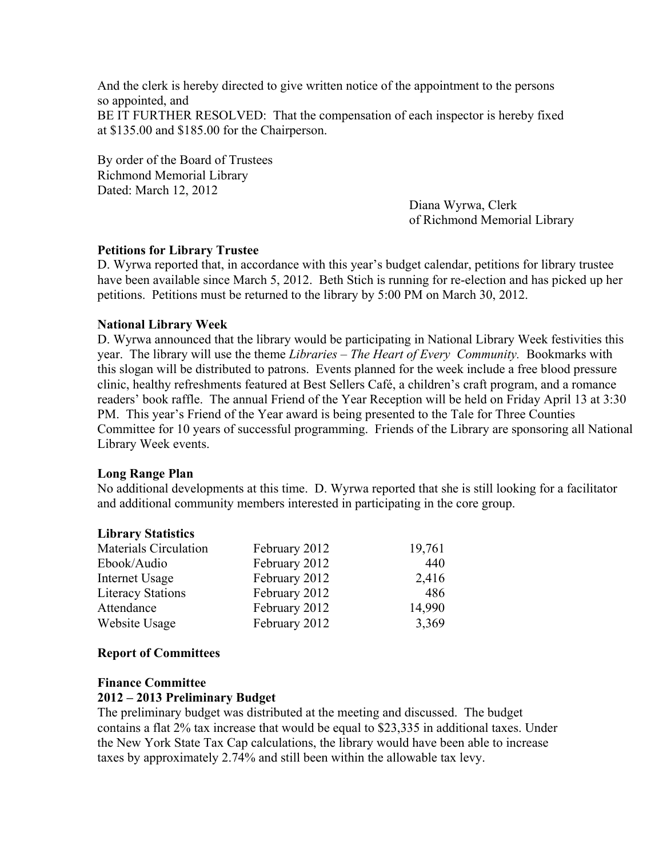And the clerk is hereby directed to give written notice of the appointment to the persons so appointed, and BE IT FURTHER RESOLVED: That the compensation of each inspector is hereby fixed at \$135.00 and \$185.00 for the Chairperson.

By order of the Board of Trustees Richmond Memorial Library Dated: March 12, 2012

Diana Wyrwa, Clerk of Richmond Memorial Library

### **Petitions for Library Trustee**

D. Wyrwa reported that, in accordance with this year's budget calendar, petitions for library trustee have been available since March 5, 2012. Beth Stich is running for re-election and has picked up her petitions. Petitions must be returned to the library by 5:00 PM on March 30, 2012.

#### **National Library Week**

D. Wyrwa announced that the library would be participating in National Library Week festivities this year. The library will use the theme *Libraries – The Heart of Every Community.* Bookmarks with this slogan will be distributed to patrons. Events planned for the week include a free blood pressure clinic, healthy refreshments featured at Best Sellers Café, a children's craft program, and a romance readers' book raffle. The annual Friend of the Year Reception will be held on Friday April 13 at 3:30 PM. This year's Friend of the Year award is being presented to the Tale for Three Counties Committee for 10 years of successful programming. Friends of the Library are sponsoring all National Library Week events.

#### **Long Range Plan**

No additional developments at this time. D. Wyrwa reported that she is still looking for a facilitator and additional community members interested in participating in the core group.

#### **Library Statistics**

| <b>Materials Circulation</b> | February 2012 | 19,761 |
|------------------------------|---------------|--------|
| Ebook/Audio                  | February 2012 | 440    |
| Internet Usage               | February 2012 | 2,416  |
| <b>Literacy Stations</b>     | February 2012 | 486    |
| Attendance                   | February 2012 | 14,990 |
| Website Usage                | February 2012 | 3,369  |

#### **Report of Committees**

#### **Finance Committee**

#### **2012 – 2013 Preliminary Budget**

The preliminary budget was distributed at the meeting and discussed. The budget contains a flat 2% tax increase that would be equal to \$23,335 in additional taxes. Under the New York State Tax Cap calculations, the library would have been able to increase taxes by approximately 2.74% and still been within the allowable tax levy.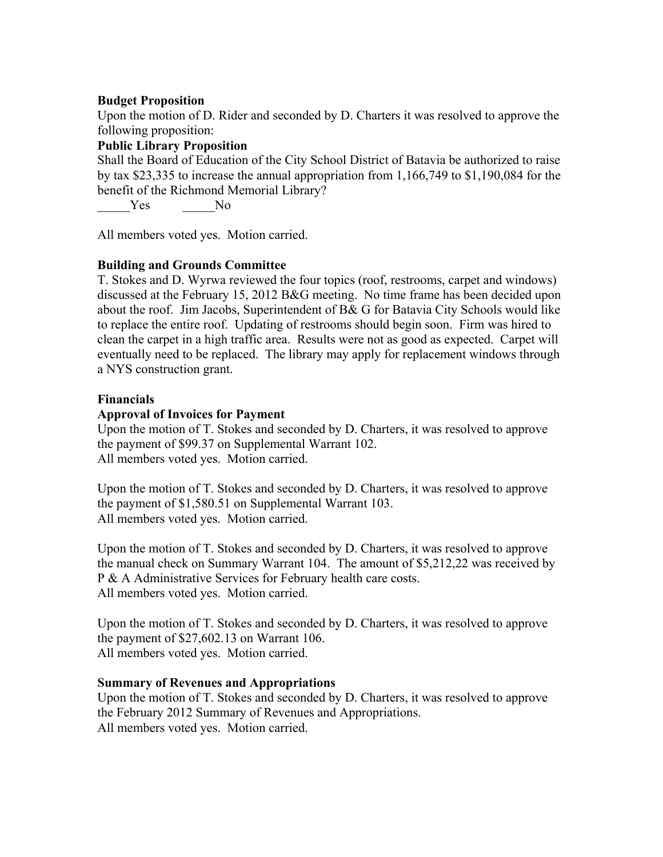#### **Budget Proposition**

Upon the motion of D. Rider and seconded by D. Charters it was resolved to approve the following proposition:

# **Public Library Proposition**

Shall the Board of Education of the City School District of Batavia be authorized to raise by tax \$23,335 to increase the annual appropriation from 1,166,749 to \$1,190,084 for the benefit of the Richmond Memorial Library?

Yes No

All members voted yes. Motion carried.

### **Building and Grounds Committee**

T. Stokes and D. Wyrwa reviewed the four topics (roof, restrooms, carpet and windows) discussed at the February 15, 2012 B&G meeting. No time frame has been decided upon about the roof. Jim Jacobs, Superintendent of B& G for Batavia City Schools would like to replace the entire roof. Updating of restrooms should begin soon. Firm was hired to clean the carpet in a high traffic area. Results were not as good as expected. Carpet will eventually need to be replaced. The library may apply for replacement windows through a NYS construction grant.

#### **Financials**

### **Approval of Invoices for Payment**

Upon the motion of T. Stokes and seconded by D. Charters, it was resolved to approve the payment of \$99.37 on Supplemental Warrant 102. All members voted yes. Motion carried.

Upon the motion of T. Stokes and seconded by D. Charters, it was resolved to approve the payment of \$1,580.51 on Supplemental Warrant 103. All members voted yes. Motion carried.

Upon the motion of T. Stokes and seconded by D. Charters, it was resolved to approve the manual check on Summary Warrant 104. The amount of \$5,212,22 was received by P & A Administrative Services for February health care costs. All members voted yes. Motion carried.

Upon the motion of T. Stokes and seconded by D. Charters, it was resolved to approve the payment of \$27,602.13 on Warrant 106. All members voted yes. Motion carried.

#### **Summary of Revenues and Appropriations**

Upon the motion of T. Stokes and seconded by D. Charters, it was resolved to approve the February 2012 Summary of Revenues and Appropriations. All members voted yes. Motion carried.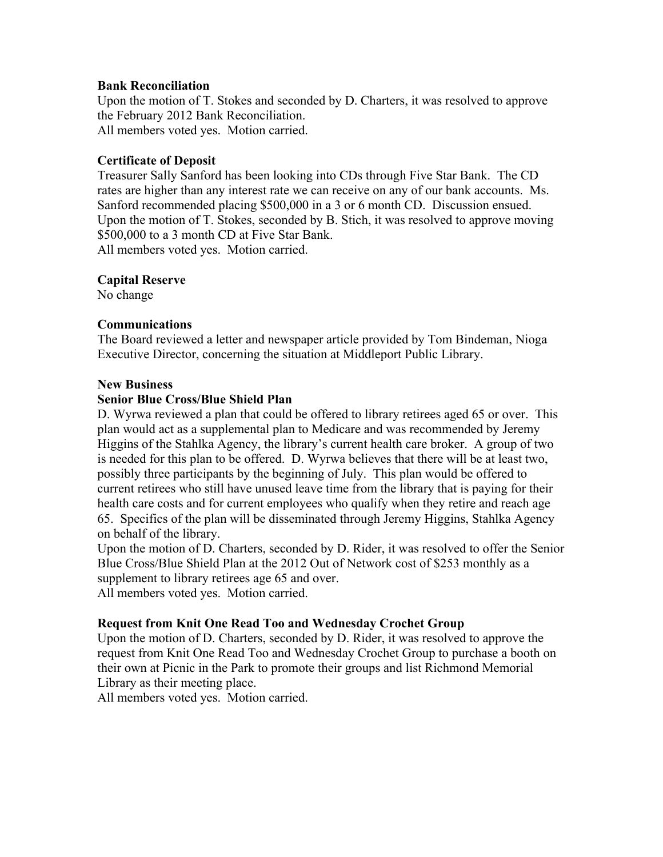#### **Bank Reconciliation**

Upon the motion of T. Stokes and seconded by D. Charters, it was resolved to approve the February 2012 Bank Reconciliation. All members voted yes. Motion carried.

### **Certificate of Deposit**

Treasurer Sally Sanford has been looking into CDs through Five Star Bank. The CD rates are higher than any interest rate we can receive on any of our bank accounts. Ms. Sanford recommended placing \$500,000 in a 3 or 6 month CD. Discussion ensued. Upon the motion of T. Stokes, seconded by B. Stich, it was resolved to approve moving \$500,000 to a 3 month CD at Five Star Bank. All members voted yes. Motion carried.

#### **Capital Reserve**

No change

### **Communications**

The Board reviewed a letter and newspaper article provided by Tom Bindeman, Nioga Executive Director, concerning the situation at Middleport Public Library.

#### **New Business**

### **Senior Blue Cross/Blue Shield Plan**

D. Wyrwa reviewed a plan that could be offered to library retirees aged 65 or over. This plan would act as a supplemental plan to Medicare and was recommended by Jeremy Higgins of the Stahlka Agency, the library's current health care broker. A group of two is needed for this plan to be offered. D. Wyrwa believes that there will be at least two, possibly three participants by the beginning of July. This plan would be offered to current retirees who still have unused leave time from the library that is paying for their health care costs and for current employees who qualify when they retire and reach age 65. Specifics of the plan will be disseminated through Jeremy Higgins, Stahlka Agency on behalf of the library.

Upon the motion of D. Charters, seconded by D. Rider, it was resolved to offer the Senior Blue Cross/Blue Shield Plan at the 2012 Out of Network cost of \$253 monthly as a supplement to library retirees age 65 and over.

All members voted yes. Motion carried.

# **Request from Knit One Read Too and Wednesday Crochet Group**

Upon the motion of D. Charters, seconded by D. Rider, it was resolved to approve the request from Knit One Read Too and Wednesday Crochet Group to purchase a booth on their own at Picnic in the Park to promote their groups and list Richmond Memorial Library as their meeting place.

All members voted yes. Motion carried.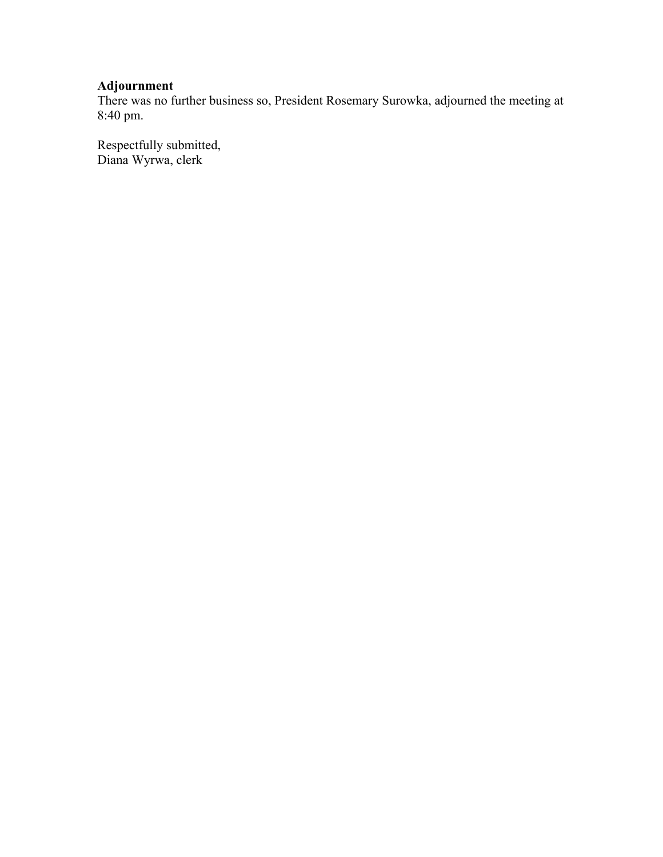# **Adjournment**

There was no further business so, President Rosemary Surowka, adjourned the meeting at 8:40 pm.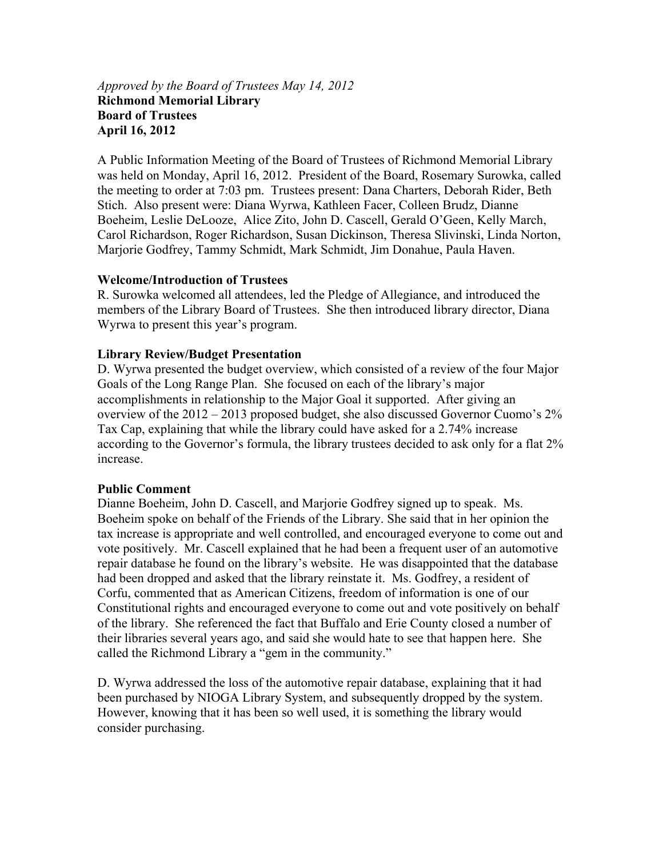### *Approved by the Board of Trustees May 14, 2012*  **Richmond Memorial Library Board of Trustees April 16, 2012**

A Public Information Meeting of the Board of Trustees of Richmond Memorial Library was held on Monday, April 16, 2012. President of the Board, Rosemary Surowka, called the meeting to order at 7:03 pm. Trustees present: Dana Charters, Deborah Rider, Beth Stich. Also present were: Diana Wyrwa, Kathleen Facer, Colleen Brudz, Dianne Boeheim, Leslie DeLooze, Alice Zito, John D. Cascell, Gerald O'Geen, Kelly March, Carol Richardson, Roger Richardson, Susan Dickinson, Theresa Slivinski, Linda Norton, Marjorie Godfrey, Tammy Schmidt, Mark Schmidt, Jim Donahue, Paula Haven.

#### **Welcome/Introduction of Trustees**

R. Surowka welcomed all attendees, led the Pledge of Allegiance, and introduced the members of the Library Board of Trustees. She then introduced library director, Diana Wyrwa to present this year's program.

#### **Library Review/Budget Presentation**

D. Wyrwa presented the budget overview, which consisted of a review of the four Major Goals of the Long Range Plan. She focused on each of the library's major accomplishments in relationship to the Major Goal it supported. After giving an overview of the 2012 – 2013 proposed budget, she also discussed Governor Cuomo's 2% Tax Cap, explaining that while the library could have asked for a 2.74% increase according to the Governor's formula, the library trustees decided to ask only for a flat 2% increase.

#### **Public Comment**

Dianne Boeheim, John D. Cascell, and Marjorie Godfrey signed up to speak. Ms. Boeheim spoke on behalf of the Friends of the Library. She said that in her opinion the tax increase is appropriate and well controlled, and encouraged everyone to come out and vote positively. Mr. Cascell explained that he had been a frequent user of an automotive repair database he found on the library's website. He was disappointed that the database had been dropped and asked that the library reinstate it. Ms. Godfrey, a resident of Corfu, commented that as American Citizens, freedom of information is one of our Constitutional rights and encouraged everyone to come out and vote positively on behalf of the library. She referenced the fact that Buffalo and Erie County closed a number of their libraries several years ago, and said she would hate to see that happen here. She called the Richmond Library a "gem in the community."

D. Wyrwa addressed the loss of the automotive repair database, explaining that it had been purchased by NIOGA Library System, and subsequently dropped by the system. However, knowing that it has been so well used, it is something the library would consider purchasing.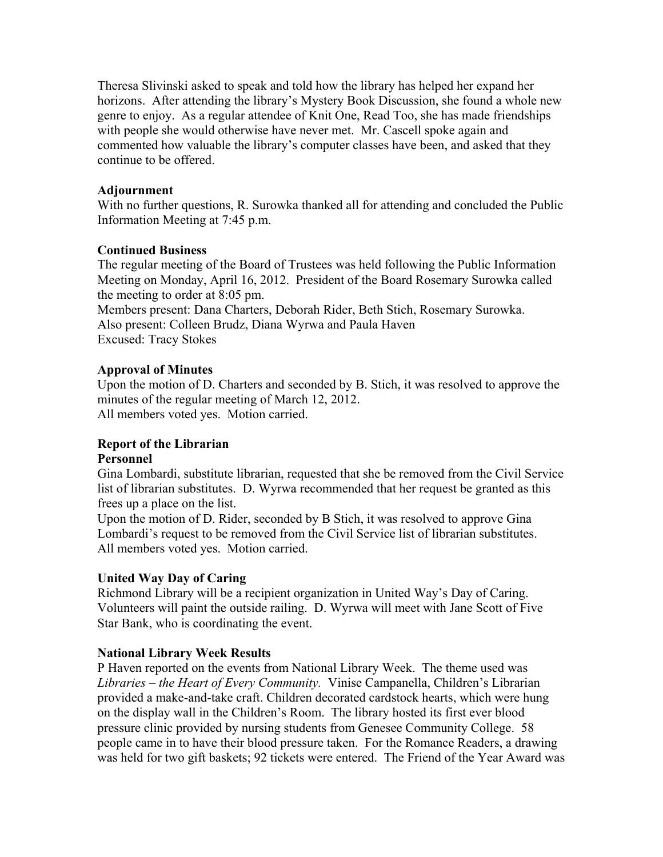Theresa Slivinski asked to speak and told how the library has helped her expand her horizons. After attending the library's Mystery Book Discussion, she found a whole new genre to enjoy. As a regular attendee of Knit One, Read Too, she has made friendships with people she would otherwise have never met. Mr. Cascell spoke again and commented how valuable the library's computer classes have been, and asked that they continue to be offered.

#### **Adjournment**

With no further questions, R. Surowka thanked all for attending and concluded the Public Information Meeting at 7:45 p.m.

#### **Continued Business**

The regular meeting of the Board of Trustees was held following the Public Information Meeting on Monday, April 16, 2012. President of the Board Rosemary Surowka called the meeting to order at 8:05 pm.

Members present: Dana Charters, Deborah Rider, Beth Stich, Rosemary Surowka. Also present: Colleen Brudz, Diana Wyrwa and Paula Haven Excused: Tracy Stokes

### **Approval of Minutes**

Upon the motion of D. Charters and seconded by B. Stich, it was resolved to approve the minutes of the regular meeting of March 12, 2012. All members voted yes. Motion carried.

# **Report of the Librarian**

#### **Personnel**

Gina Lombardi, substitute librarian, requested that she be removed from the Civil Service list of librarian substitutes. D. Wyrwa recommended that her request be granted as this frees up a place on the list.

Upon the motion of D. Rider, seconded by B Stich, it was resolved to approve Gina Lombardi's request to be removed from the Civil Service list of librarian substitutes. All members voted yes. Motion carried.

#### **United Way Day of Caring**

Richmond Library will be a recipient organization in United Way's Day of Caring. Volunteers will paint the outside railing. D. Wyrwa will meet with Jane Scott of Five Star Bank, who is coordinating the event.

#### **National Library Week Results**

P Haven reported on the events from National Library Week. The theme used was *Libraries – the Heart of Every Community.* Vinise Campanella, Children's Librarian provided a make-and-take craft. Children decorated cardstock hearts, which were hung on the display wall in the Children's Room. The library hosted its first ever blood pressure clinic provided by nursing students from Genesee Community College. 58 people came in to have their blood pressure taken. For the Romance Readers, a drawing was held for two gift baskets; 92 tickets were entered. The Friend of the Year Award was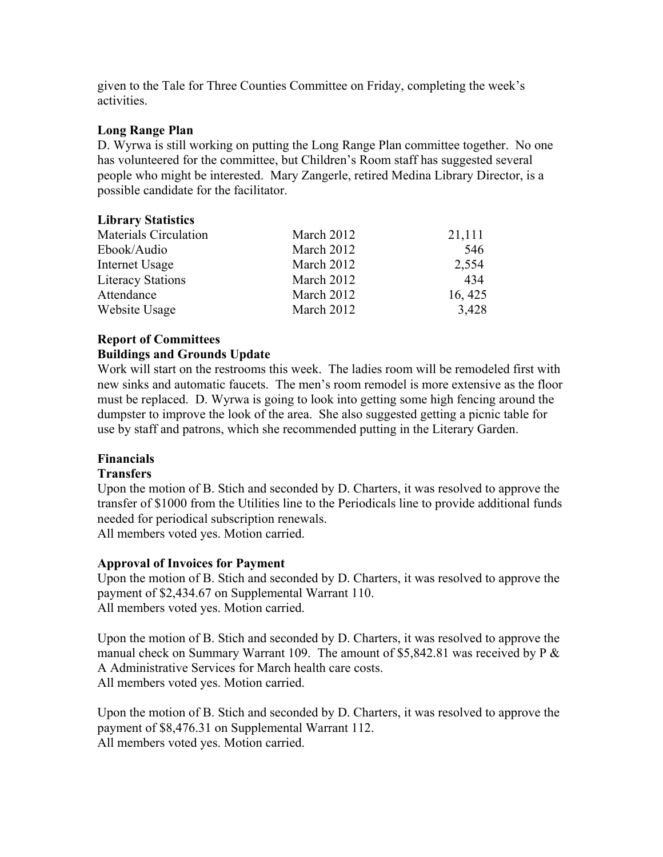given to the Tale for Three Counties Committee on Friday, completing the week's activities.

## **Long Range Plan**

D. Wyrwa is still working on putting the Long Range Plan committee together. No one has volunteered for the committee, but Children's Room staff has suggested several people who might be interested. Mary Zangerle, retired Medina Library Director, is a possible candidate for the facilitator.

# **Library Statistics**  Materials Circulation March 2012 21,111 Ebook/Audio March 2012 546

| Internet Usage    | March 2012 | 2,554   |
|-------------------|------------|---------|
| Literacy Stations | March 2012 | 434     |
| Attendance        | March 2012 | 16, 425 |
| Website Usage     | March 2012 | 3,428   |

# **Report of Committees**

### **Buildings and Grounds Update**

Work will start on the restrooms this week. The ladies room will be remodeled first with new sinks and automatic faucets. The men's room remodel is more extensive as the floor must be replaced. D. Wyrwa is going to look into getting some high fencing around the dumpster to improve the look of the area. She also suggested getting a picnic table for use by staff and patrons, which she recommended putting in the Literary Garden.

# **Financials**

#### **Transfers**

Upon the motion of B. Stich and seconded by D. Charters, it was resolved to approve the transfer of \$1000 from the Utilities line to the Periodicals line to provide additional funds needed for periodical subscription renewals.

All members voted yes. Motion carried.

# **Approval of Invoices for Payment**

Upon the motion of B. Stich and seconded by D. Charters, it was resolved to approve the payment of \$2,434.67 on Supplemental Warrant 110. All members voted yes. Motion carried.

Upon the motion of B. Stich and seconded by D. Charters, it was resolved to approve the manual check on Summary Warrant 109. The amount of \$5,842.81 was received by P & A Administrative Services for March health care costs. All members voted yes. Motion carried.

Upon the motion of B. Stich and seconded by D. Charters, it was resolved to approve the payment of \$8,476.31 on Supplemental Warrant 112. All members voted yes. Motion carried.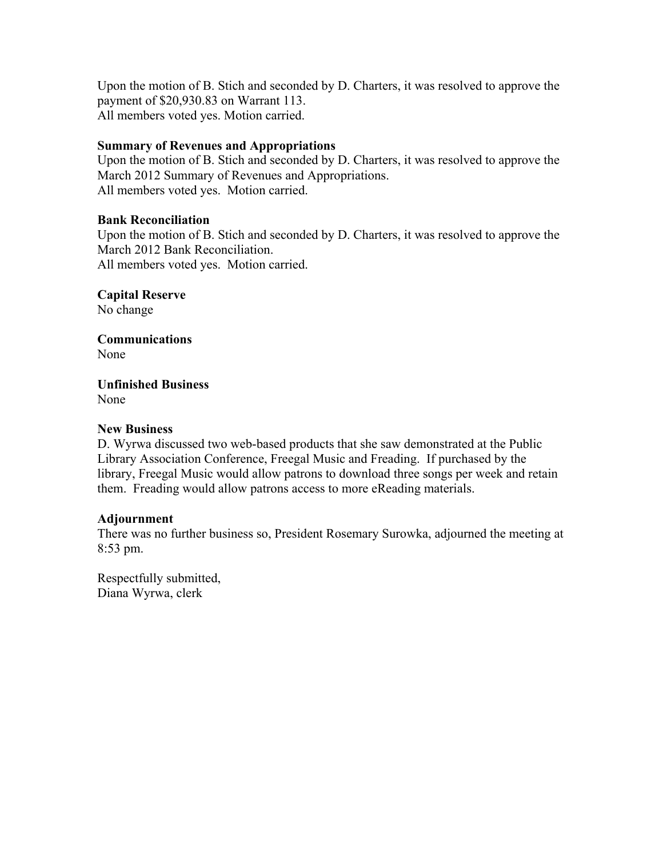Upon the motion of B. Stich and seconded by D. Charters, it was resolved to approve the payment of \$20,930.83 on Warrant 113. All members voted yes. Motion carried.

## **Summary of Revenues and Appropriations**

Upon the motion of B. Stich and seconded by D. Charters, it was resolved to approve the March 2012 Summary of Revenues and Appropriations. All members voted yes. Motion carried.

#### **Bank Reconciliation**

Upon the motion of B. Stich and seconded by D. Charters, it was resolved to approve the March 2012 Bank Reconciliation. All members voted yes. Motion carried.

**Capital Reserve** 

No change

**Communications**  None

**Unfinished Business**  None

### **New Business**

D. Wyrwa discussed two web-based products that she saw demonstrated at the Public Library Association Conference, Freegal Music and Freading. If purchased by the library, Freegal Music would allow patrons to download three songs per week and retain them. Freading would allow patrons access to more eReading materials.

#### **Adjournment**

There was no further business so, President Rosemary Surowka, adjourned the meeting at 8:53 pm.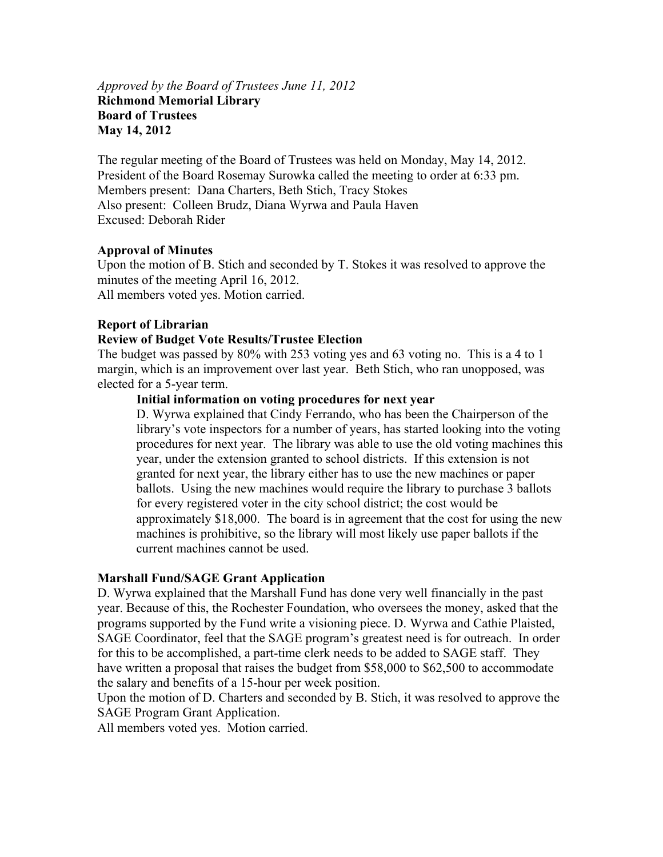#### *Approved by the Board of Trustees June 11, 2012*  **Richmond Memorial Library Board of Trustees May 14, 2012**

The regular meeting of the Board of Trustees was held on Monday, May 14, 2012. President of the Board Rosemay Surowka called the meeting to order at 6:33 pm. Members present: Dana Charters, Beth Stich, Tracy Stokes Also present: Colleen Brudz, Diana Wyrwa and Paula Haven Excused: Deborah Rider

#### **Approval of Minutes**

Upon the motion of B. Stich and seconded by T. Stokes it was resolved to approve the minutes of the meeting April 16, 2012. All members voted yes. Motion carried.

### **Report of Librarian**

#### **Review of Budget Vote Results/Trustee Election**

The budget was passed by 80% with 253 voting yes and 63 voting no. This is a 4 to 1 margin, which is an improvement over last year. Beth Stich, who ran unopposed, was elected for a 5-year term.

#### **Initial information on voting procedures for next year**

D. Wyrwa explained that Cindy Ferrando, who has been the Chairperson of the library's vote inspectors for a number of years, has started looking into the voting procedures for next year. The library was able to use the old voting machines this year, under the extension granted to school districts. If this extension is not granted for next year, the library either has to use the new machines or paper ballots. Using the new machines would require the library to purchase 3 ballots for every registered voter in the city school district; the cost would be approximately \$18,000. The board is in agreement that the cost for using the new machines is prohibitive, so the library will most likely use paper ballots if the current machines cannot be used.

#### **Marshall Fund/SAGE Grant Application**

D. Wyrwa explained that the Marshall Fund has done very well financially in the past year. Because of this, the Rochester Foundation, who oversees the money, asked that the programs supported by the Fund write a visioning piece. D. Wyrwa and Cathie Plaisted, SAGE Coordinator, feel that the SAGE program's greatest need is for outreach. In order for this to be accomplished, a part-time clerk needs to be added to SAGE staff. They have written a proposal that raises the budget from \$58,000 to \$62,500 to accommodate the salary and benefits of a 15-hour per week position.

Upon the motion of D. Charters and seconded by B. Stich, it was resolved to approve the SAGE Program Grant Application.

All members voted yes. Motion carried.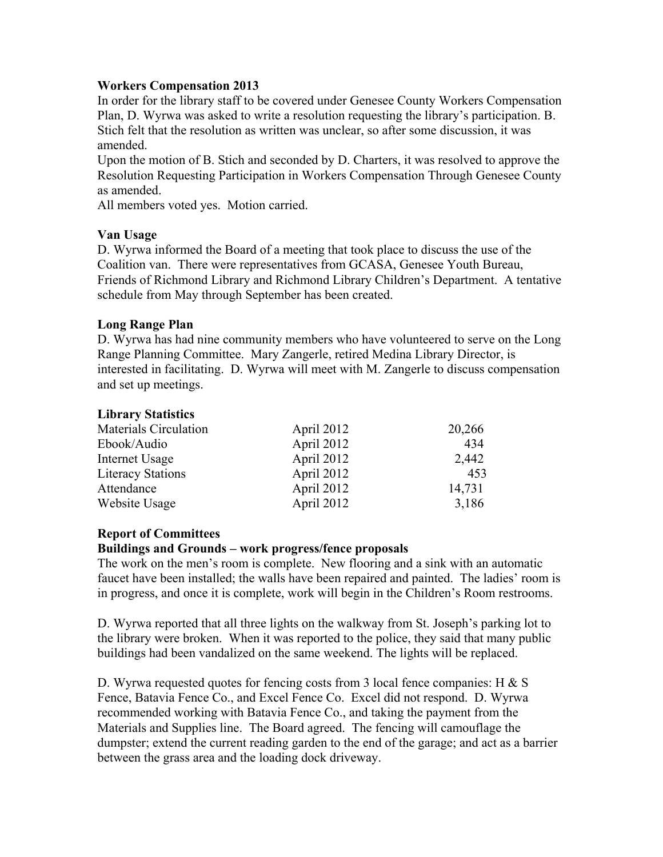#### **Workers Compensation 2013**

In order for the library staff to be covered under Genesee County Workers Compensation Plan, D. Wyrwa was asked to write a resolution requesting the library's participation. B. Stich felt that the resolution as written was unclear, so after some discussion, it was amended.

Upon the motion of B. Stich and seconded by D. Charters, it was resolved to approve the Resolution Requesting Participation in Workers Compensation Through Genesee County as amended.

All members voted yes. Motion carried.

### **Van Usage**

D. Wyrwa informed the Board of a meeting that took place to discuss the use of the Coalition van. There were representatives from GCASA, Genesee Youth Bureau, Friends of Richmond Library and Richmond Library Children's Department. A tentative schedule from May through September has been created.

### **Long Range Plan**

D. Wyrwa has had nine community members who have volunteered to serve on the Long Range Planning Committee. Mary Zangerle, retired Medina Library Director, is interested in facilitating. D. Wyrwa will meet with M. Zangerle to discuss compensation and set up meetings.

### **Library Statistics**

| Materials Circulation    | April 2012 | 20,266 |
|--------------------------|------------|--------|
| Ebook/Audio              | April 2012 | 434    |
| Internet Usage           | April 2012 | 2,442  |
| <b>Literacy Stations</b> | April 2012 | 453    |
| Attendance               | April 2012 | 14,731 |
| Website Usage            | April 2012 | 3,186  |

# **Report of Committees**

#### **Buildings and Grounds – work progress/fence proposals**

The work on the men's room is complete. New flooring and a sink with an automatic faucet have been installed; the walls have been repaired and painted. The ladies' room is in progress, and once it is complete, work will begin in the Children's Room restrooms.

D. Wyrwa reported that all three lights on the walkway from St. Joseph's parking lot to the library were broken. When it was reported to the police, they said that many public buildings had been vandalized on the same weekend. The lights will be replaced.

D. Wyrwa requested quotes for fencing costs from 3 local fence companies: H & S Fence, Batavia Fence Co., and Excel Fence Co. Excel did not respond. D. Wyrwa recommended working with Batavia Fence Co., and taking the payment from the Materials and Supplies line. The Board agreed. The fencing will camouflage the dumpster; extend the current reading garden to the end of the garage; and act as a barrier between the grass area and the loading dock driveway.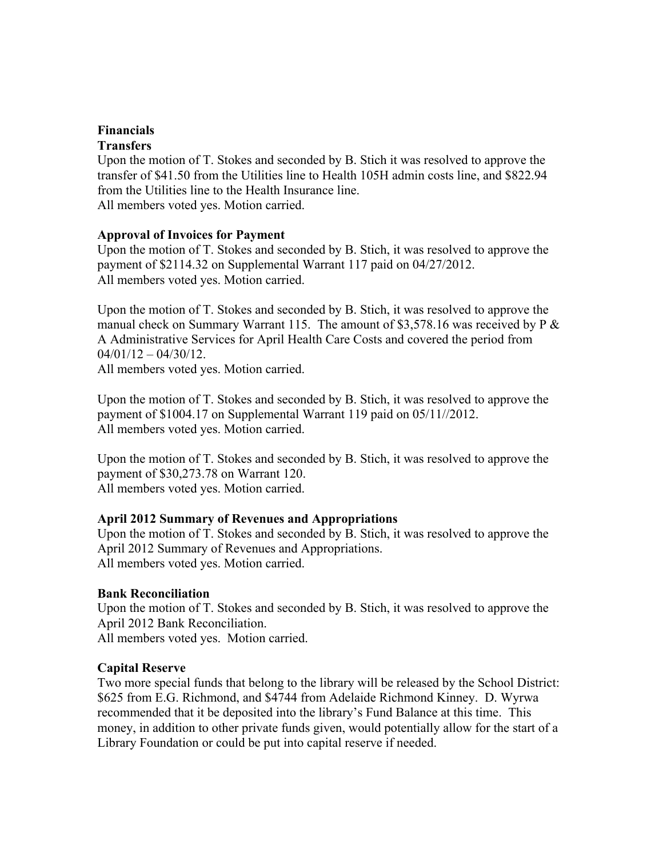## **Financials Transfers**

Upon the motion of T. Stokes and seconded by B. Stich it was resolved to approve the transfer of \$41.50 from the Utilities line to Health 105H admin costs line, and \$822.94 from the Utilities line to the Health Insurance line. All members voted yes. Motion carried.

# **Approval of Invoices for Payment**

Upon the motion of T. Stokes and seconded by B. Stich, it was resolved to approve the payment of \$2114.32 on Supplemental Warrant 117 paid on 04/27/2012. All members voted yes. Motion carried.

Upon the motion of T. Stokes and seconded by B. Stich, it was resolved to approve the manual check on Summary Warrant 115. The amount of \$3,578.16 was received by  $P \&$ A Administrative Services for April Health Care Costs and covered the period from  $04/01/12 - 04/30/12$ . All members voted yes. Motion carried.

Upon the motion of T. Stokes and seconded by B. Stich, it was resolved to approve the payment of \$1004.17 on Supplemental Warrant 119 paid on 05/11//2012. All members voted yes. Motion carried.

Upon the motion of T. Stokes and seconded by B. Stich, it was resolved to approve the payment of \$30,273.78 on Warrant 120. All members voted yes. Motion carried.

# **April 2012 Summary of Revenues and Appropriations**

Upon the motion of T. Stokes and seconded by B. Stich, it was resolved to approve the April 2012 Summary of Revenues and Appropriations. All members voted yes. Motion carried.

# **Bank Reconciliation**

Upon the motion of T. Stokes and seconded by B. Stich, it was resolved to approve the April 2012 Bank Reconciliation.

All members voted yes. Motion carried.

# **Capital Reserve**

Two more special funds that belong to the library will be released by the School District: \$625 from E.G. Richmond, and \$4744 from Adelaide Richmond Kinney. D. Wyrwa recommended that it be deposited into the library's Fund Balance at this time. This money, in addition to other private funds given, would potentially allow for the start of a Library Foundation or could be put into capital reserve if needed.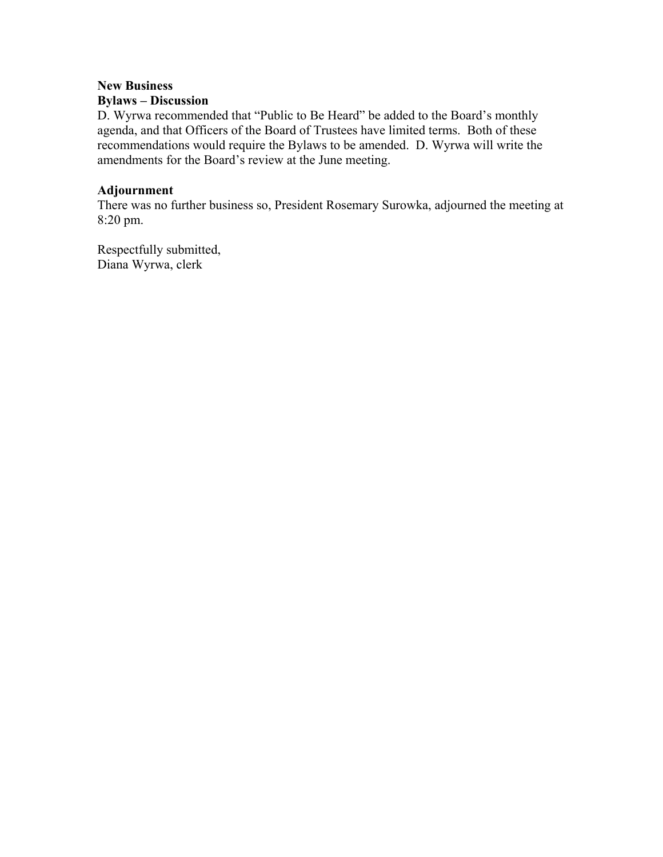# **New Business**

# **Bylaws – Discussion**

D. Wyrwa recommended that "Public to Be Heard" be added to the Board's monthly agenda, and that Officers of the Board of Trustees have limited terms. Both of these recommendations would require the Bylaws to be amended. D. Wyrwa will write the amendments for the Board's review at the June meeting.

#### **Adjournment**

There was no further business so, President Rosemary Surowka, adjourned the meeting at 8:20 pm.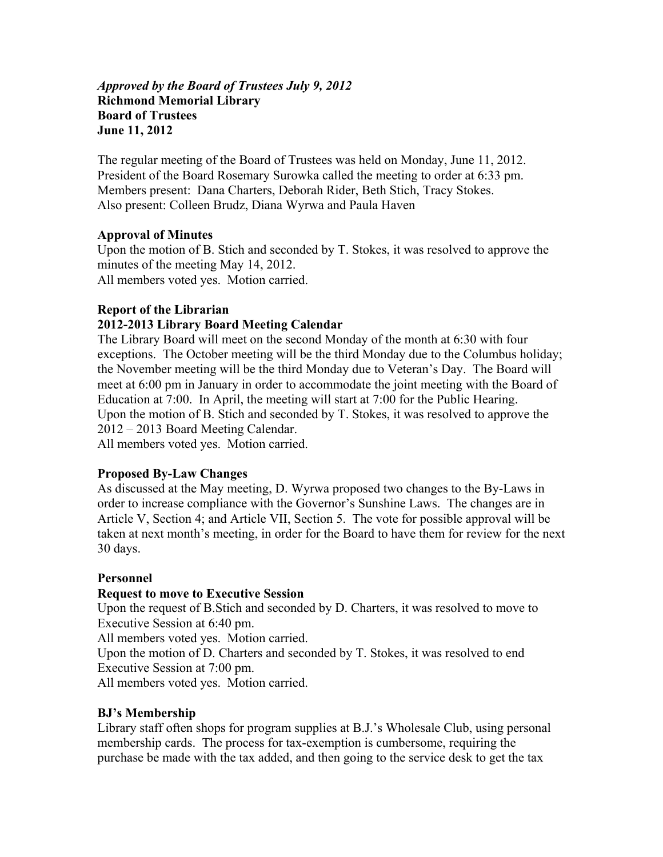#### *Approved by the Board of Trustees July 9, 2012*  **Richmond Memorial Library Board of Trustees June 11, 2012**

The regular meeting of the Board of Trustees was held on Monday, June 11, 2012. President of the Board Rosemary Surowka called the meeting to order at 6:33 pm. Members present: Dana Charters, Deborah Rider, Beth Stich, Tracy Stokes. Also present: Colleen Brudz, Diana Wyrwa and Paula Haven

### **Approval of Minutes**

Upon the motion of B. Stich and seconded by T. Stokes, it was resolved to approve the minutes of the meeting May 14, 2012. All members voted yes. Motion carried.

### **Report of the Librarian**

### **2012-2013 Library Board Meeting Calendar**

The Library Board will meet on the second Monday of the month at 6:30 with four exceptions. The October meeting will be the third Monday due to the Columbus holiday; the November meeting will be the third Monday due to Veteran's Day. The Board will meet at 6:00 pm in January in order to accommodate the joint meeting with the Board of Education at 7:00. In April, the meeting will start at 7:00 for the Public Hearing. Upon the motion of B. Stich and seconded by T. Stokes, it was resolved to approve the 2012 – 2013 Board Meeting Calendar.

All members voted yes. Motion carried.

#### **Proposed By-Law Changes**

As discussed at the May meeting, D. Wyrwa proposed two changes to the By-Laws in order to increase compliance with the Governor's Sunshine Laws. The changes are in Article V, Section 4; and Article VII, Section 5. The vote for possible approval will be taken at next month's meeting, in order for the Board to have them for review for the next 30 days.

#### **Personnel**

#### **Request to move to Executive Session**

Upon the request of B.Stich and seconded by D. Charters, it was resolved to move to Executive Session at 6:40 pm.

All members voted yes. Motion carried.

Upon the motion of D. Charters and seconded by T. Stokes, it was resolved to end Executive Session at 7:00 pm.

All members voted yes. Motion carried.

#### **BJ's Membership**

Library staff often shops for program supplies at B.J.'s Wholesale Club, using personal membership cards. The process for tax-exemption is cumbersome, requiring the purchase be made with the tax added, and then going to the service desk to get the tax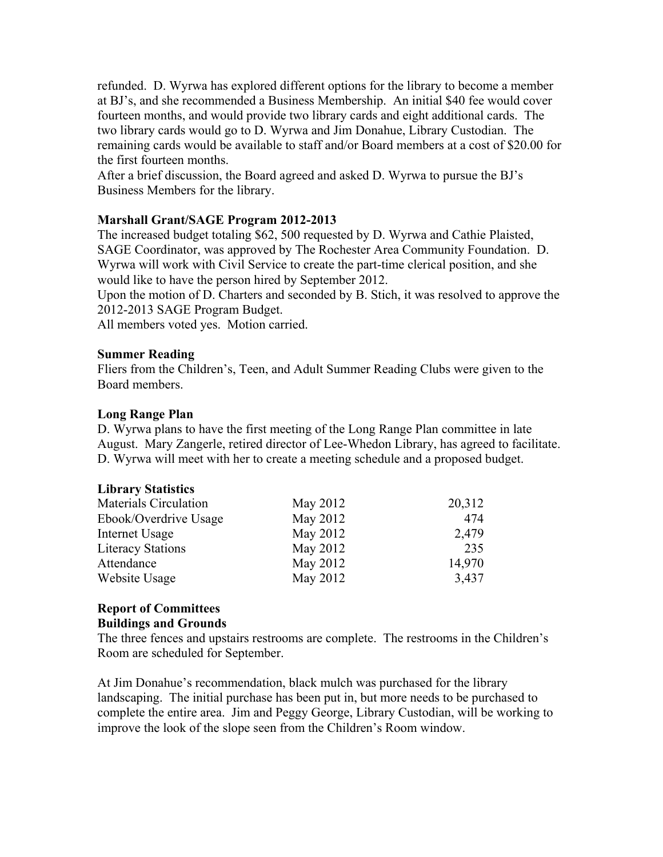refunded. D. Wyrwa has explored different options for the library to become a member at BJ's, and she recommended a Business Membership. An initial \$40 fee would cover fourteen months, and would provide two library cards and eight additional cards. The two library cards would go to D. Wyrwa and Jim Donahue, Library Custodian. The remaining cards would be available to staff and/or Board members at a cost of \$20.00 for the first fourteen months.

After a brief discussion, the Board agreed and asked D. Wyrwa to pursue the BJ's Business Members for the library.

### **Marshall Grant/SAGE Program 2012-2013**

The increased budget totaling \$62, 500 requested by D. Wyrwa and Cathie Plaisted, SAGE Coordinator, was approved by The Rochester Area Community Foundation. D. Wyrwa will work with Civil Service to create the part-time clerical position, and she would like to have the person hired by September 2012.

Upon the motion of D. Charters and seconded by B. Stich, it was resolved to approve the 2012-2013 SAGE Program Budget.

All members voted yes. Motion carried.

#### **Summer Reading**

Fliers from the Children's, Teen, and Adult Summer Reading Clubs were given to the Board members.

#### **Long Range Plan**

D. Wyrwa plans to have the first meeting of the Long Range Plan committee in late August. Mary Zangerle, retired director of Lee-Whedon Library, has agreed to facilitate. D. Wyrwa will meet with her to create a meeting schedule and a proposed budget.

#### **Library Statistics**

| <b>Materials Circulation</b> | May 2012 | 20,312 |
|------------------------------|----------|--------|
| Ebook/Overdrive Usage        | May 2012 | 474    |
| Internet Usage               | May 2012 | 2,479  |
| <b>Literacy Stations</b>     | May 2012 | 235    |
| Attendance                   | May 2012 | 14,970 |
| Website Usage                | May 2012 | 3,437  |

# **Report of Committees**

**Buildings and Grounds** 

The three fences and upstairs restrooms are complete. The restrooms in the Children's Room are scheduled for September.

At Jim Donahue's recommendation, black mulch was purchased for the library landscaping. The initial purchase has been put in, but more needs to be purchased to complete the entire area. Jim and Peggy George, Library Custodian, will be working to improve the look of the slope seen from the Children's Room window.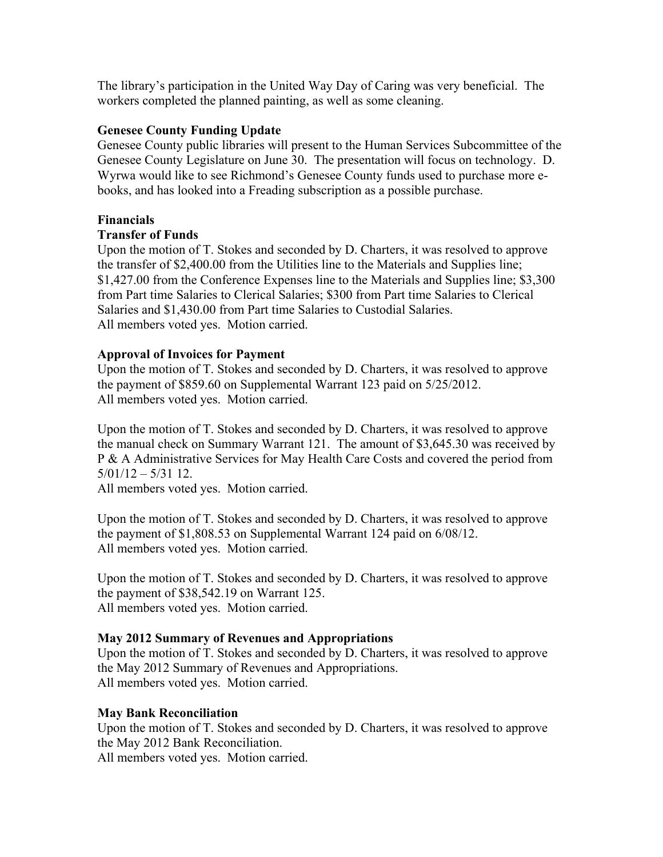The library's participation in the United Way Day of Caring was very beneficial. The workers completed the planned painting, as well as some cleaning.

## **Genesee County Funding Update**

Genesee County public libraries will present to the Human Services Subcommittee of the Genesee County Legislature on June 30. The presentation will focus on technology. D. Wyrwa would like to see Richmond's Genesee County funds used to purchase more ebooks, and has looked into a Freading subscription as a possible purchase.

#### **Financials**

# **Transfer of Funds**

Upon the motion of T. Stokes and seconded by D. Charters, it was resolved to approve the transfer of \$2,400.00 from the Utilities line to the Materials and Supplies line; \$1,427.00 from the Conference Expenses line to the Materials and Supplies line; \$3,300 from Part time Salaries to Clerical Salaries; \$300 from Part time Salaries to Clerical Salaries and \$1,430.00 from Part time Salaries to Custodial Salaries. All members voted yes. Motion carried.

### **Approval of Invoices for Payment**

Upon the motion of T. Stokes and seconded by D. Charters, it was resolved to approve the payment of \$859.60 on Supplemental Warrant 123 paid on 5/25/2012. All members voted yes. Motion carried.

Upon the motion of T. Stokes and seconded by D. Charters, it was resolved to approve the manual check on Summary Warrant 121. The amount of \$3,645.30 was received by P & A Administrative Services for May Health Care Costs and covered the period from 5/01/12 – 5/31 12.

All members voted yes. Motion carried.

Upon the motion of T. Stokes and seconded by D. Charters, it was resolved to approve the payment of \$1,808.53 on Supplemental Warrant 124 paid on 6/08/12. All members voted yes. Motion carried.

Upon the motion of T. Stokes and seconded by D. Charters, it was resolved to approve the payment of \$38,542.19 on Warrant 125. All members voted yes. Motion carried.

#### **May 2012 Summary of Revenues and Appropriations**

Upon the motion of T. Stokes and seconded by D. Charters, it was resolved to approve the May 2012 Summary of Revenues and Appropriations. All members voted yes. Motion carried.

#### **May Bank Reconciliation**

Upon the motion of T. Stokes and seconded by D. Charters, it was resolved to approve the May 2012 Bank Reconciliation.

All members voted yes. Motion carried.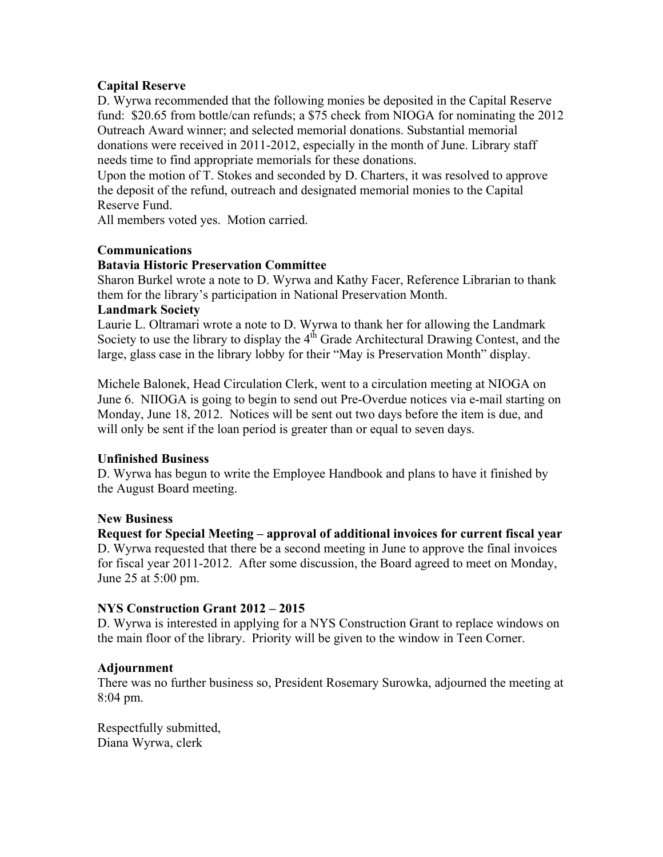# **Capital Reserve**

D. Wyrwa recommended that the following monies be deposited in the Capital Reserve fund: \$20.65 from bottle/can refunds; a \$75 check from NIOGA for nominating the 2012 Outreach Award winner; and selected memorial donations. Substantial memorial donations were received in 2011-2012, especially in the month of June. Library staff needs time to find appropriate memorials for these donations.

Upon the motion of T. Stokes and seconded by D. Charters, it was resolved to approve the deposit of the refund, outreach and designated memorial monies to the Capital Reserve Fund.

All members voted yes. Motion carried.

### **Communications**

### **Batavia Historic Preservation Committee**

Sharon Burkel wrote a note to D. Wyrwa and Kathy Facer, Reference Librarian to thank them for the library's participation in National Preservation Month.

#### **Landmark Society**

Laurie L. Oltramari wrote a note to D. Wyrwa to thank her for allowing the Landmark Society to use the library to display the  $4<sup>th</sup>$  Grade Architectural Drawing Contest, and the large, glass case in the library lobby for their "May is Preservation Month" display.

Michele Balonek, Head Circulation Clerk, went to a circulation meeting at NIOGA on June 6. NIIOGA is going to begin to send out Pre-Overdue notices via e-mail starting on Monday, June 18, 2012. Notices will be sent out two days before the item is due, and will only be sent if the loan period is greater than or equal to seven days.

#### **Unfinished Business**

D. Wyrwa has begun to write the Employee Handbook and plans to have it finished by the August Board meeting.

#### **New Business**

**Request for Special Meeting – approval of additional invoices for current fiscal year**  D. Wyrwa requested that there be a second meeting in June to approve the final invoices for fiscal year 2011-2012. After some discussion, the Board agreed to meet on Monday, June 25 at 5:00 pm.

#### **NYS Construction Grant 2012 – 2015**

D. Wyrwa is interested in applying for a NYS Construction Grant to replace windows on the main floor of the library. Priority will be given to the window in Teen Corner.

#### **Adjournment**

There was no further business so, President Rosemary Surowka, adjourned the meeting at 8:04 pm.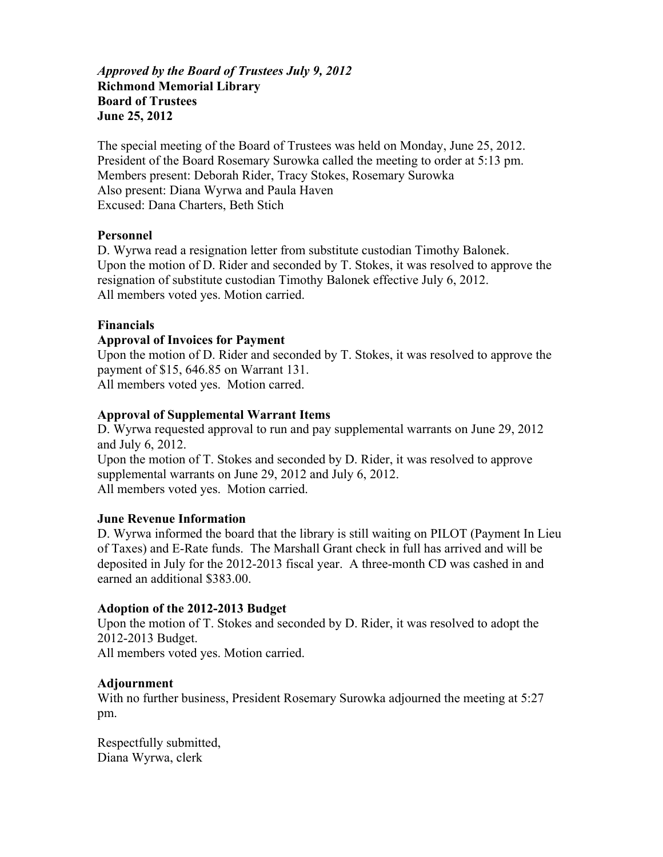## *Approved by the Board of Trustees July 9, 2012*  **Richmond Memorial Library Board of Trustees June 25, 2012**

The special meeting of the Board of Trustees was held on Monday, June 25, 2012. President of the Board Rosemary Surowka called the meeting to order at 5:13 pm. Members present: Deborah Rider, Tracy Stokes, Rosemary Surowka Also present: Diana Wyrwa and Paula Haven Excused: Dana Charters, Beth Stich

### **Personnel**

D. Wyrwa read a resignation letter from substitute custodian Timothy Balonek. Upon the motion of D. Rider and seconded by T. Stokes, it was resolved to approve the resignation of substitute custodian Timothy Balonek effective July 6, 2012. All members voted yes. Motion carried.

#### **Financials**

### **Approval of Invoices for Payment**

Upon the motion of D. Rider and seconded by T. Stokes, it was resolved to approve the payment of \$15, 646.85 on Warrant 131. All members voted yes. Motion carred.

### **Approval of Supplemental Warrant Items**

D. Wyrwa requested approval to run and pay supplemental warrants on June 29, 2012 and July 6, 2012. Upon the motion of T. Stokes and seconded by D. Rider, it was resolved to approve supplemental warrants on June 29, 2012 and July 6, 2012. All members voted yes. Motion carried.

#### **June Revenue Information**

D. Wyrwa informed the board that the library is still waiting on PILOT (Payment In Lieu of Taxes) and E-Rate funds. The Marshall Grant check in full has arrived and will be deposited in July for the 2012-2013 fiscal year. A three-month CD was cashed in and earned an additional \$383.00.

#### **Adoption of the 2012-2013 Budget**

Upon the motion of T. Stokes and seconded by D. Rider, it was resolved to adopt the 2012-2013 Budget. All members voted yes. Motion carried.

#### **Adjournment**

With no further business, President Rosemary Surowka adjourned the meeting at 5:27 pm.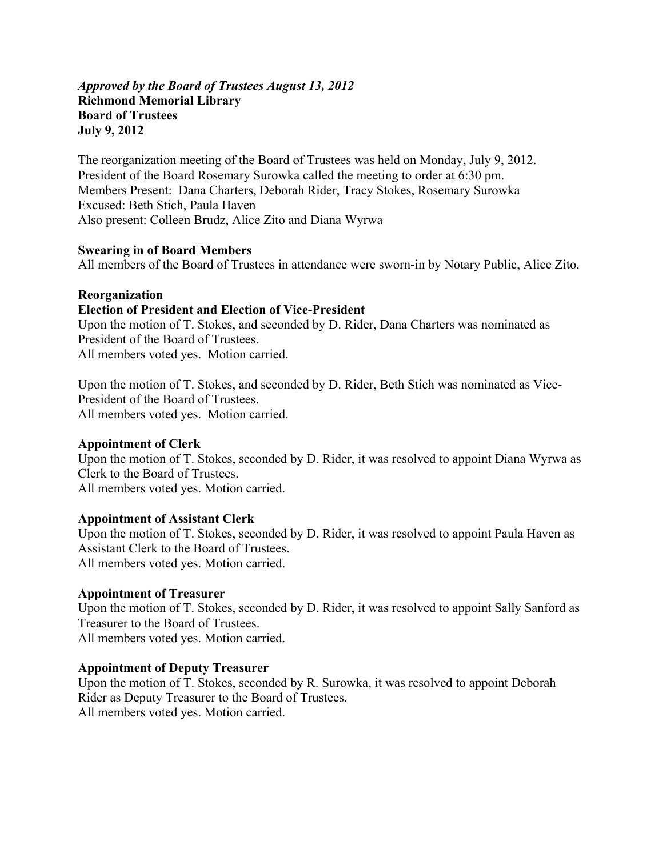#### *Approved by the Board of Trustees August 13, 2012*  **Richmond Memorial Library Board of Trustees July 9, 2012**

The reorganization meeting of the Board of Trustees was held on Monday, July 9, 2012. President of the Board Rosemary Surowka called the meeting to order at 6:30 pm. Members Present: Dana Charters, Deborah Rider, Tracy Stokes, Rosemary Surowka Excused: Beth Stich, Paula Haven Also present: Colleen Brudz, Alice Zito and Diana Wyrwa

### **Swearing in of Board Members**

All members of the Board of Trustees in attendance were sworn-in by Notary Public, Alice Zito.

#### **Reorganization**

#### **Election of President and Election of Vice-President**

Upon the motion of T. Stokes, and seconded by D. Rider, Dana Charters was nominated as President of the Board of Trustees. All members voted yes. Motion carried.

Upon the motion of T. Stokes, and seconded by D. Rider, Beth Stich was nominated as Vice-President of the Board of Trustees. All members voted yes. Motion carried.

#### **Appointment of Clerk**

Upon the motion of T. Stokes, seconded by D. Rider, it was resolved to appoint Diana Wyrwa as Clerk to the Board of Trustees. All members voted yes. Motion carried.

#### **Appointment of Assistant Clerk**

Upon the motion of T. Stokes, seconded by D. Rider, it was resolved to appoint Paula Haven as Assistant Clerk to the Board of Trustees. All members voted yes. Motion carried.

#### **Appointment of Treasurer**

Upon the motion of T. Stokes, seconded by D. Rider, it was resolved to appoint Sally Sanford as Treasurer to the Board of Trustees. All members voted yes. Motion carried.

#### **Appointment of Deputy Treasurer**

Upon the motion of T. Stokes, seconded by R. Surowka, it was resolved to appoint Deborah Rider as Deputy Treasurer to the Board of Trustees. All members voted yes. Motion carried.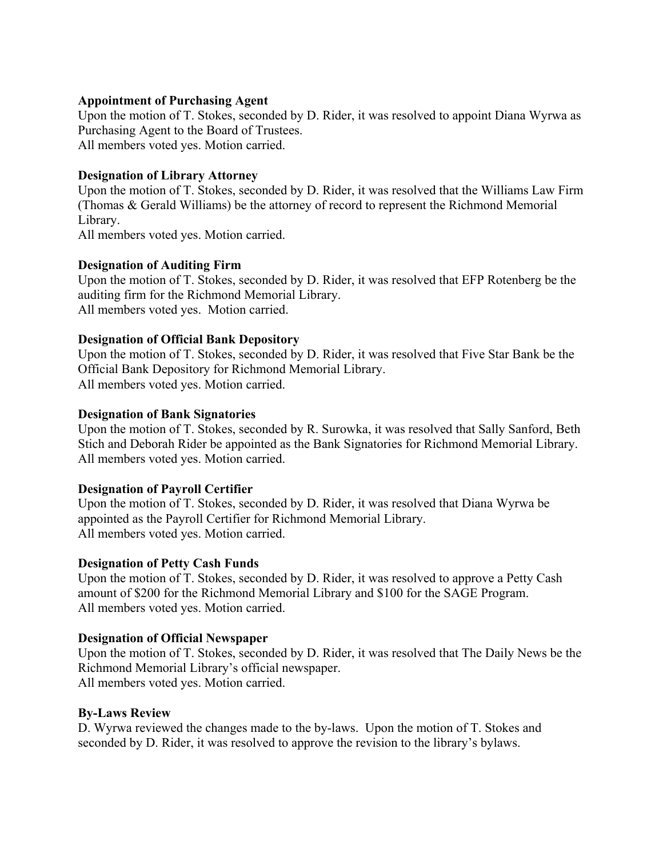#### **Appointment of Purchasing Agent**

Upon the motion of T. Stokes, seconded by D. Rider, it was resolved to appoint Diana Wyrwa as Purchasing Agent to the Board of Trustees. All members voted yes. Motion carried.

#### **Designation of Library Attorney**

Upon the motion of T. Stokes, seconded by D. Rider, it was resolved that the Williams Law Firm (Thomas & Gerald Williams) be the attorney of record to represent the Richmond Memorial Library.

All members voted yes. Motion carried.

### **Designation of Auditing Firm**

Upon the motion of T. Stokes, seconded by D. Rider, it was resolved that EFP Rotenberg be the auditing firm for the Richmond Memorial Library. All members voted yes. Motion carried.

### **Designation of Official Bank Depository**

Upon the motion of T. Stokes, seconded by D. Rider, it was resolved that Five Star Bank be the Official Bank Depository for Richmond Memorial Library. All members voted yes. Motion carried.

### **Designation of Bank Signatories**

Upon the motion of T. Stokes, seconded by R. Surowka, it was resolved that Sally Sanford, Beth Stich and Deborah Rider be appointed as the Bank Signatories for Richmond Memorial Library. All members voted yes. Motion carried.

# **Designation of Payroll Certifier**

Upon the motion of T. Stokes, seconded by D. Rider, it was resolved that Diana Wyrwa be appointed as the Payroll Certifier for Richmond Memorial Library. All members voted yes. Motion carried.

#### **Designation of Petty Cash Funds**

Upon the motion of T. Stokes, seconded by D. Rider, it was resolved to approve a Petty Cash amount of \$200 for the Richmond Memorial Library and \$100 for the SAGE Program. All members voted yes. Motion carried.

#### **Designation of Official Newspaper**

Upon the motion of T. Stokes, seconded by D. Rider, it was resolved that The Daily News be the Richmond Memorial Library's official newspaper. All members voted yes. Motion carried.

#### **By-Laws Review**

D. Wyrwa reviewed the changes made to the by-laws. Upon the motion of T. Stokes and seconded by D. Rider, it was resolved to approve the revision to the library's bylaws.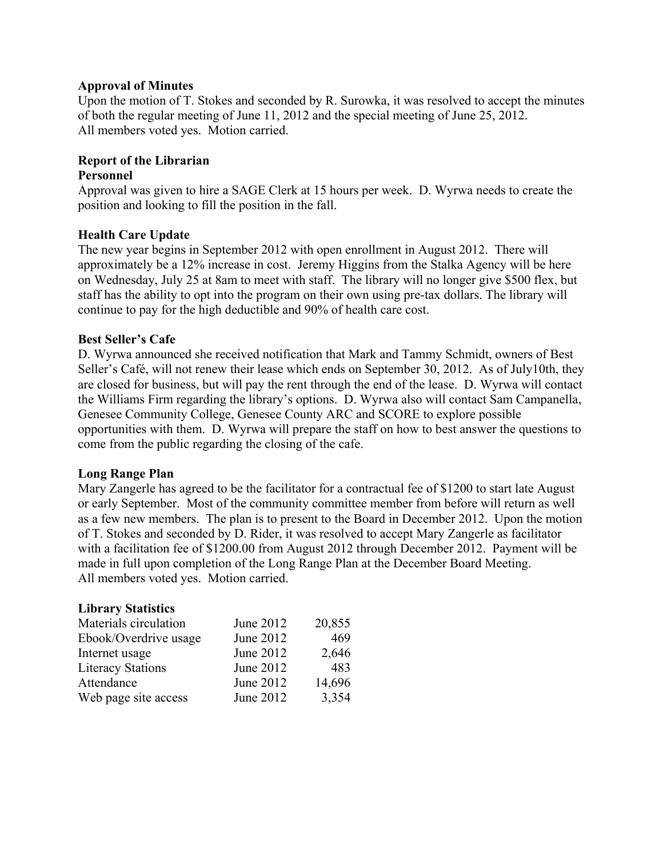#### **Approval of Minutes**

Upon the motion of T. Stokes and seconded by R. Surowka, it was resolved to accept the minutes of both the regular meeting of June 11, 2012 and the special meeting of June 25, 2012. All members voted yes. Motion carried.

# **Report of the Librarian**

## **Personnel**

Approval was given to hire a SAGE Clerk at 15 hours per week. D. Wyrwa needs to create the position and looking to fill the position in the fall.

#### **Health Care Update**

The new year begins in September 2012 with open enrollment in August 2012. There will approximately be a 12% increase in cost. Jeremy Higgins from the Stalka Agency will be here on Wednesday, July 25 at 8am to meet with staff. The library will no longer give \$500 flex, but staff has the ability to opt into the program on their own using pre-tax dollars. The library will continue to pay for the high deductible and 90% of health care cost.

### **Best Seller's Cafe**

D. Wyrwa announced she received notification that Mark and Tammy Schmidt, owners of Best Seller's Café, will not renew their lease which ends on September 30, 2012. As of July10th, they are closed for business, but will pay the rent through the end of the lease. D. Wyrwa will contact the Williams Firm regarding the library's options. D. Wyrwa also will contact Sam Campanella, Genesee Community College, Genesee County ARC and SCORE to explore possible opportunities with them. D. Wyrwa will prepare the staff on how to best answer the questions to come from the public regarding the closing of the cafe.

#### **Long Range Plan**

Mary Zangerle has agreed to be the facilitator for a contractual fee of \$1200 to start late August or early September. Most of the community committee member from before will return as well as a few new members. The plan is to present to the Board in December 2012. Upon the motion of T. Stokes and seconded by D. Rider, it was resolved to accept Mary Zangerle as facilitator with a facilitation fee of \$1200.00 from August 2012 through December 2012. Payment will be made in full upon completion of the Long Range Plan at the December Board Meeting. All members voted yes. Motion carried.

#### **Library Statistics**

| Materials circulation    | June 2012 | 20,855 |
|--------------------------|-----------|--------|
| Ebook/Overdrive usage    | June 2012 | 469    |
| Internet usage           | June 2012 | 2,646  |
| <b>Literacy Stations</b> | June 2012 | 483    |
| Attendance               | June 2012 | 14,696 |
| Web page site access     | June 2012 | 3,354  |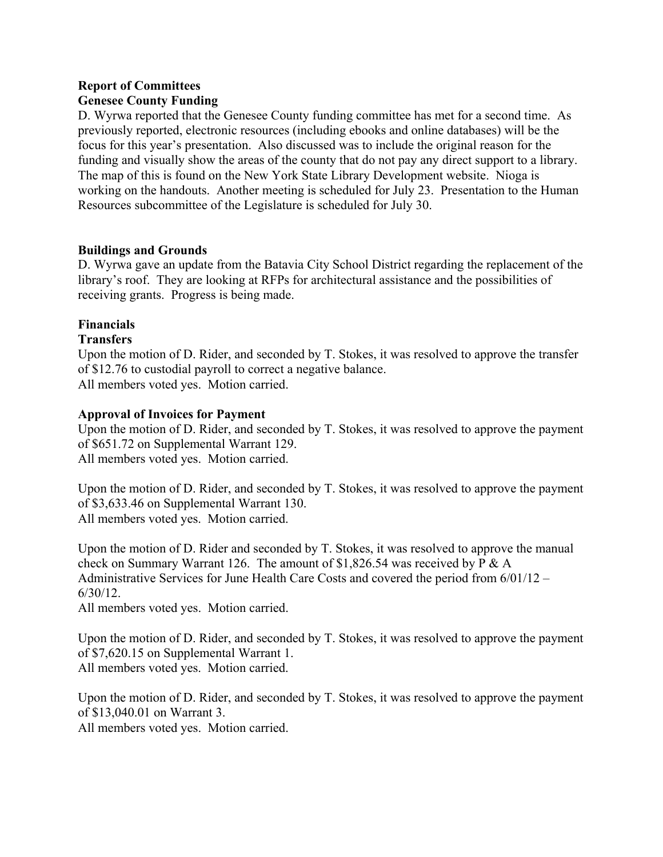# **Report of Committees Genesee County Funding**

D. Wyrwa reported that the Genesee County funding committee has met for a second time. As previously reported, electronic resources (including ebooks and online databases) will be the focus for this year's presentation. Also discussed was to include the original reason for the funding and visually show the areas of the county that do not pay any direct support to a library. The map of this is found on the New York State Library Development website. Nioga is working on the handouts. Another meeting is scheduled for July 23. Presentation to the Human Resources subcommittee of the Legislature is scheduled for July 30.

# **Buildings and Grounds**

D. Wyrwa gave an update from the Batavia City School District regarding the replacement of the library's roof. They are looking at RFPs for architectural assistance and the possibilities of receiving grants. Progress is being made.

# **Financials**

#### **Transfers**

Upon the motion of D. Rider, and seconded by T. Stokes, it was resolved to approve the transfer of \$12.76 to custodial payroll to correct a negative balance. All members voted yes. Motion carried.

### **Approval of Invoices for Payment**

Upon the motion of D. Rider, and seconded by T. Stokes, it was resolved to approve the payment of \$651.72 on Supplemental Warrant 129. All members voted yes. Motion carried.

Upon the motion of D. Rider, and seconded by T. Stokes, it was resolved to approve the payment of \$3,633.46 on Supplemental Warrant 130. All members voted yes. Motion carried.

Upon the motion of D. Rider and seconded by T. Stokes, it was resolved to approve the manual check on Summary Warrant 126. The amount of \$1,826.54 was received by P & A Administrative Services for June Health Care Costs and covered the period from 6/01/12 – 6/30/12.

All members voted yes. Motion carried.

Upon the motion of D. Rider, and seconded by T. Stokes, it was resolved to approve the payment of \$7,620.15 on Supplemental Warrant 1. All members voted yes. Motion carried.

Upon the motion of D. Rider, and seconded by T. Stokes, it was resolved to approve the payment of \$13,040.01 on Warrant 3.

All members voted yes. Motion carried.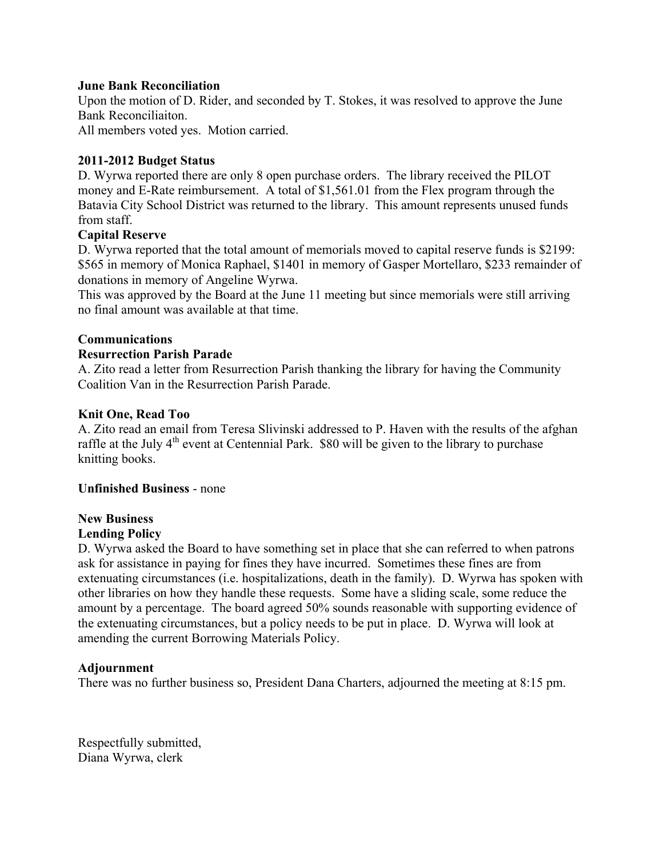#### **June Bank Reconciliation**

Upon the motion of D. Rider, and seconded by T. Stokes, it was resolved to approve the June Bank Reconciliaiton.

All members voted yes. Motion carried.

### **2011-2012 Budget Status**

D. Wyrwa reported there are only 8 open purchase orders. The library received the PILOT money and E-Rate reimbursement. A total of \$1,561.01 from the Flex program through the Batavia City School District was returned to the library. This amount represents unused funds from staff.

### **Capital Reserve**

D. Wyrwa reported that the total amount of memorials moved to capital reserve funds is \$2199: \$565 in memory of Monica Raphael, \$1401 in memory of Gasper Mortellaro, \$233 remainder of donations in memory of Angeline Wyrwa.

This was approved by the Board at the June 11 meeting but since memorials were still arriving no final amount was available at that time.

### **Communications**

#### **Resurrection Parish Parade**

A. Zito read a letter from Resurrection Parish thanking the library for having the Community Coalition Van in the Resurrection Parish Parade.

#### **Knit One, Read Too**

A. Zito read an email from Teresa Slivinski addressed to P. Haven with the results of the afghan raffle at the July  $4<sup>th</sup>$  event at Centennial Park. \$80 will be given to the library to purchase knitting books.

#### **Unfinished Business** - none

# **New Business**

#### **Lending Policy**

D. Wyrwa asked the Board to have something set in place that she can referred to when patrons ask for assistance in paying for fines they have incurred. Sometimes these fines are from extenuating circumstances (i.e. hospitalizations, death in the family). D. Wyrwa has spoken with other libraries on how they handle these requests. Some have a sliding scale, some reduce the amount by a percentage. The board agreed 50% sounds reasonable with supporting evidence of the extenuating circumstances, but a policy needs to be put in place. D. Wyrwa will look at amending the current Borrowing Materials Policy.

#### **Adjournment**

There was no further business so, President Dana Charters, adjourned the meeting at 8:15 pm.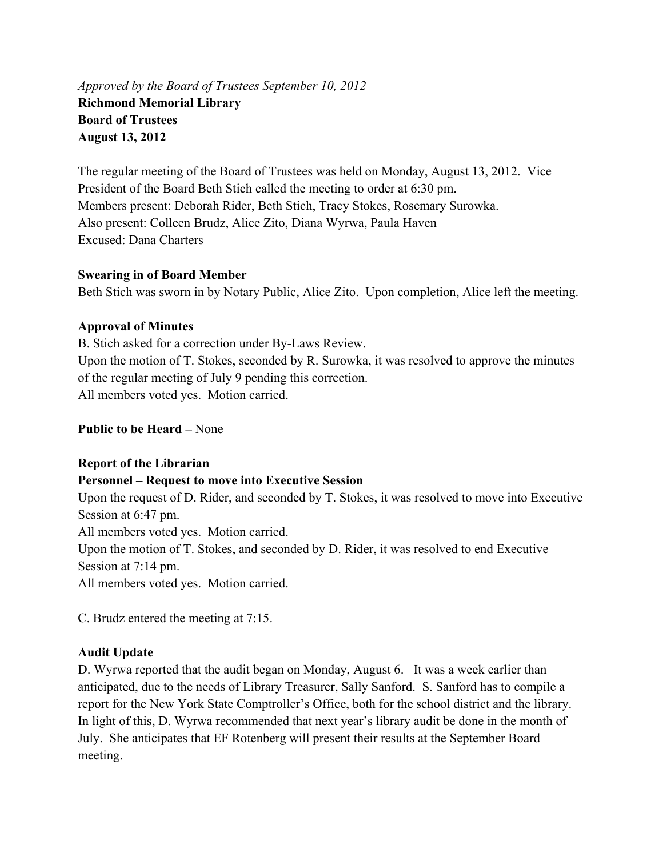*Approved by the Board of Trustees September 10, 2012*  **Richmond Memorial Library Board of Trustees August 13, 2012** 

The regular meeting of the Board of Trustees was held on Monday, August 13, 2012. Vice President of the Board Beth Stich called the meeting to order at 6:30 pm. Members present: Deborah Rider, Beth Stich, Tracy Stokes, Rosemary Surowka. Also present: Colleen Brudz, Alice Zito, Diana Wyrwa, Paula Haven Excused: Dana Charters

### **Swearing in of Board Member**

Beth Stich was sworn in by Notary Public, Alice Zito. Upon completion, Alice left the meeting.

# **Approval of Minutes**

B. Stich asked for a correction under By-Laws Review. Upon the motion of T. Stokes, seconded by R. Surowka, it was resolved to approve the minutes of the regular meeting of July 9 pending this correction. All members voted yes. Motion carried.

**Public to be Heard –** None

# **Report of the Librarian**

# **Personnel – Request to move into Executive Session**

Upon the request of D. Rider, and seconded by T. Stokes, it was resolved to move into Executive Session at 6:47 pm. All members voted yes. Motion carried. Upon the motion of T. Stokes, and seconded by D. Rider, it was resolved to end Executive Session at 7:14 pm.

All members voted yes. Motion carried.

C. Brudz entered the meeting at 7:15.

# **Audit Update**

D. Wyrwa reported that the audit began on Monday, August 6. It was a week earlier than anticipated, due to the needs of Library Treasurer, Sally Sanford. S. Sanford has to compile a report for the New York State Comptroller's Office, both for the school district and the library. In light of this, D. Wyrwa recommended that next year's library audit be done in the month of July. She anticipates that EF Rotenberg will present their results at the September Board meeting.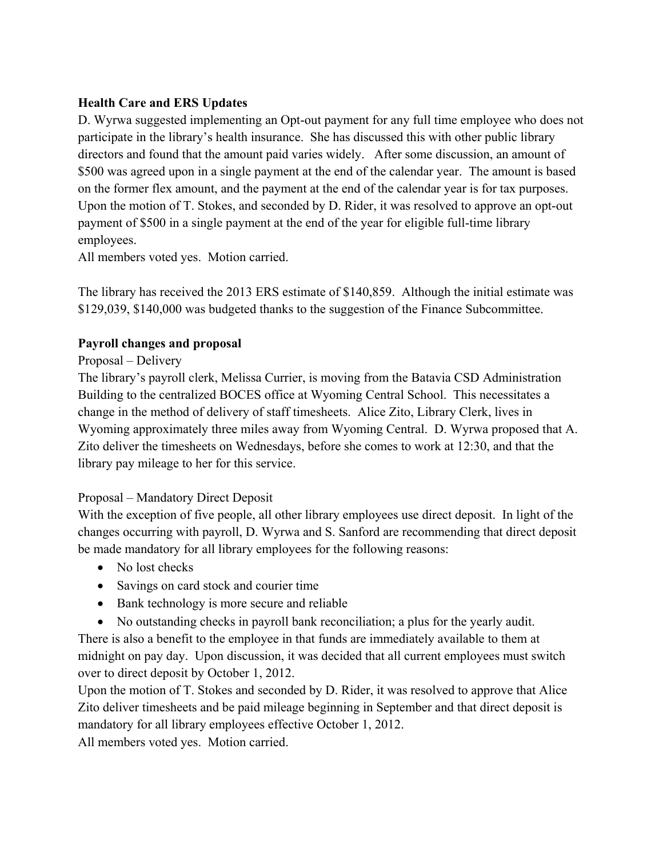# **Health Care and ERS Updates**

D. Wyrwa suggested implementing an Opt-out payment for any full time employee who does not participate in the library's health insurance. She has discussed this with other public library directors and found that the amount paid varies widely. After some discussion, an amount of \$500 was agreed upon in a single payment at the end of the calendar year. The amount is based on the former flex amount, and the payment at the end of the calendar year is for tax purposes. Upon the motion of T. Stokes, and seconded by D. Rider, it was resolved to approve an opt-out payment of \$500 in a single payment at the end of the year for eligible full-time library employees.

All members voted yes. Motion carried.

The library has received the 2013 ERS estimate of \$140,859. Although the initial estimate was \$129,039, \$140,000 was budgeted thanks to the suggestion of the Finance Subcommittee.

# **Payroll changes and proposal**

# Proposal – Delivery

The library's payroll clerk, Melissa Currier, is moving from the Batavia CSD Administration Building to the centralized BOCES office at Wyoming Central School. This necessitates a change in the method of delivery of staff timesheets. Alice Zito, Library Clerk, lives in Wyoming approximately three miles away from Wyoming Central. D. Wyrwa proposed that A. Zito deliver the timesheets on Wednesdays, before she comes to work at 12:30, and that the library pay mileage to her for this service.

# Proposal – Mandatory Direct Deposit

With the exception of five people, all other library employees use direct deposit. In light of the changes occurring with payroll, D. Wyrwa and S. Sanford are recommending that direct deposit be made mandatory for all library employees for the following reasons:

- No lost checks
- Savings on card stock and courier time
- Bank technology is more secure and reliable
- No outstanding checks in payroll bank reconciliation; a plus for the yearly audit.

There is also a benefit to the employee in that funds are immediately available to them at midnight on pay day. Upon discussion, it was decided that all current employees must switch over to direct deposit by October 1, 2012.

Upon the motion of T. Stokes and seconded by D. Rider, it was resolved to approve that Alice Zito deliver timesheets and be paid mileage beginning in September and that direct deposit is mandatory for all library employees effective October 1, 2012.

All members voted yes. Motion carried.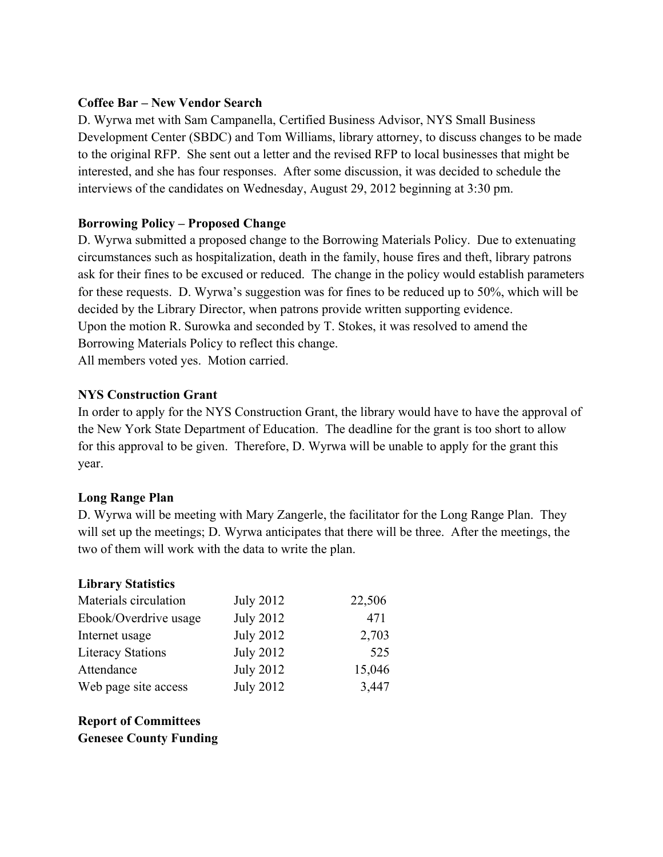## **Coffee Bar – New Vendor Search**

D. Wyrwa met with Sam Campanella, Certified Business Advisor, NYS Small Business Development Center (SBDC) and Tom Williams, library attorney, to discuss changes to be made to the original RFP. She sent out a letter and the revised RFP to local businesses that might be interested, and she has four responses. After some discussion, it was decided to schedule the interviews of the candidates on Wednesday, August 29, 2012 beginning at 3:30 pm.

# **Borrowing Policy – Proposed Change**

D. Wyrwa submitted a proposed change to the Borrowing Materials Policy. Due to extenuating circumstances such as hospitalization, death in the family, house fires and theft, library patrons ask for their fines to be excused or reduced. The change in the policy would establish parameters for these requests. D. Wyrwa's suggestion was for fines to be reduced up to 50%, which will be decided by the Library Director, when patrons provide written supporting evidence. Upon the motion R. Surowka and seconded by T. Stokes, it was resolved to amend the Borrowing Materials Policy to reflect this change. All members voted yes. Motion carried.

#### **NYS Construction Grant**

In order to apply for the NYS Construction Grant, the library would have to have the approval of the New York State Department of Education. The deadline for the grant is too short to allow for this approval to be given. Therefore, D. Wyrwa will be unable to apply for the grant this year.

#### **Long Range Plan**

D. Wyrwa will be meeting with Mary Zangerle, the facilitator for the Long Range Plan. They will set up the meetings; D. Wyrwa anticipates that there will be three. After the meetings, the two of them will work with the data to write the plan.

#### **Library Statistics**

| Materials circulation    | <b>July 2012</b> | 22,506 |
|--------------------------|------------------|--------|
| Ebook/Overdrive usage    | <b>July 2012</b> | 471    |
| Internet usage           | <b>July 2012</b> | 2,703  |
| <b>Literacy Stations</b> | <b>July 2012</b> | 525    |
| Attendance               | <b>July 2012</b> | 15,046 |
| Web page site access     | <b>July 2012</b> | 3,447  |

**Report of Committees Genesee County Funding**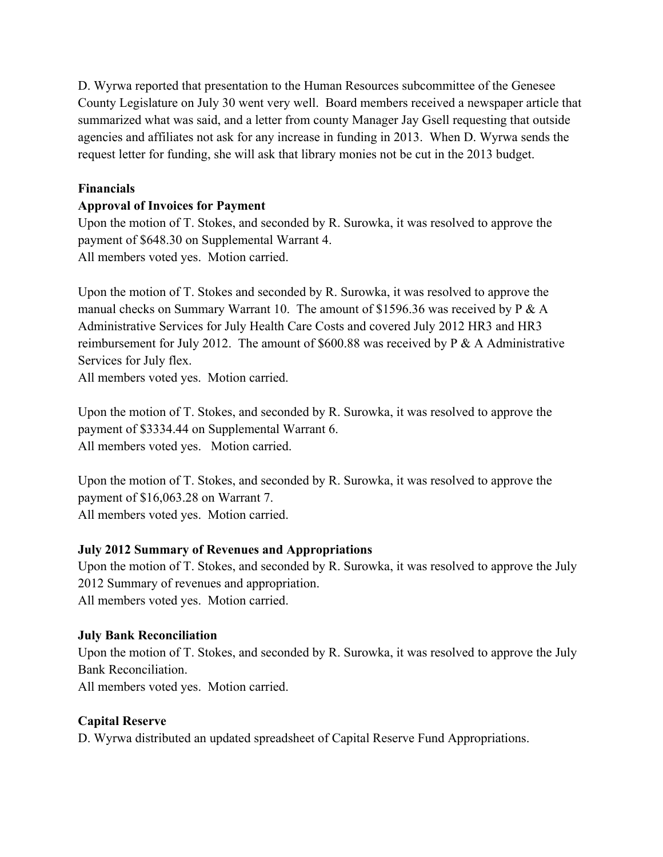D. Wyrwa reported that presentation to the Human Resources subcommittee of the Genesee County Legislature on July 30 went very well. Board members received a newspaper article that summarized what was said, and a letter from county Manager Jay Gsell requesting that outside agencies and affiliates not ask for any increase in funding in 2013. When D. Wyrwa sends the request letter for funding, she will ask that library monies not be cut in the 2013 budget.

# **Financials**

# **Approval of Invoices for Payment**

Upon the motion of T. Stokes, and seconded by R. Surowka, it was resolved to approve the payment of \$648.30 on Supplemental Warrant 4. All members voted yes. Motion carried.

Upon the motion of T. Stokes and seconded by R. Surowka, it was resolved to approve the manual checks on Summary Warrant 10. The amount of \$1596.36 was received by P & A Administrative Services for July Health Care Costs and covered July 2012 HR3 and HR3 reimbursement for July 2012. The amount of \$600.88 was received by P & A Administrative Services for July flex.

All members voted yes. Motion carried.

Upon the motion of T. Stokes, and seconded by R. Surowka, it was resolved to approve the payment of \$3334.44 on Supplemental Warrant 6. All members voted yes. Motion carried.

Upon the motion of T. Stokes, and seconded by R. Surowka, it was resolved to approve the payment of \$16,063.28 on Warrant 7. All members voted yes. Motion carried.

# **July 2012 Summary of Revenues and Appropriations**

Upon the motion of T. Stokes, and seconded by R. Surowka, it was resolved to approve the July 2012 Summary of revenues and appropriation. All members voted yes. Motion carried.

# **July Bank Reconciliation**

Upon the motion of T. Stokes, and seconded by R. Surowka, it was resolved to approve the July Bank Reconciliation.

All members voted yes. Motion carried.

# **Capital Reserve**

D. Wyrwa distributed an updated spreadsheet of Capital Reserve Fund Appropriations.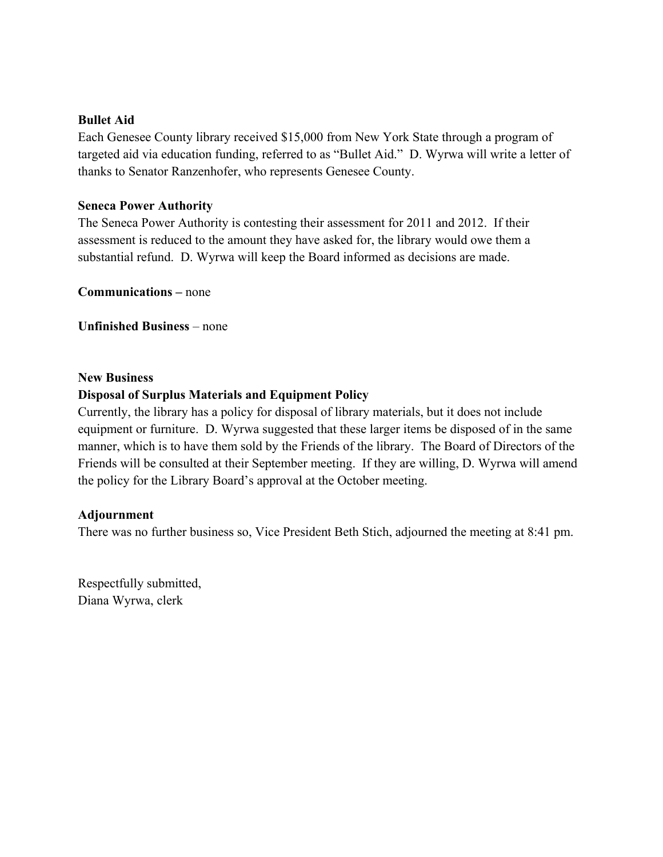#### **Bullet Aid**

Each Genesee County library received \$15,000 from New York State through a program of targeted aid via education funding, referred to as "Bullet Aid." D. Wyrwa will write a letter of thanks to Senator Ranzenhofer, who represents Genesee County.

#### **Seneca Power Authority**

The Seneca Power Authority is contesting their assessment for 2011 and 2012. If their assessment is reduced to the amount they have asked for, the library would owe them a substantial refund. D. Wyrwa will keep the Board informed as decisions are made.

**Communications –** none

**Unfinished Business** – none

#### **New Business**

### **Disposal of Surplus Materials and Equipment Policy**

Currently, the library has a policy for disposal of library materials, but it does not include equipment or furniture. D. Wyrwa suggested that these larger items be disposed of in the same manner, which is to have them sold by the Friends of the library. The Board of Directors of the Friends will be consulted at their September meeting. If they are willing, D. Wyrwa will amend the policy for the Library Board's approval at the October meeting.

#### **Adjournment**

There was no further business so, Vice President Beth Stich, adjourned the meeting at 8:41 pm.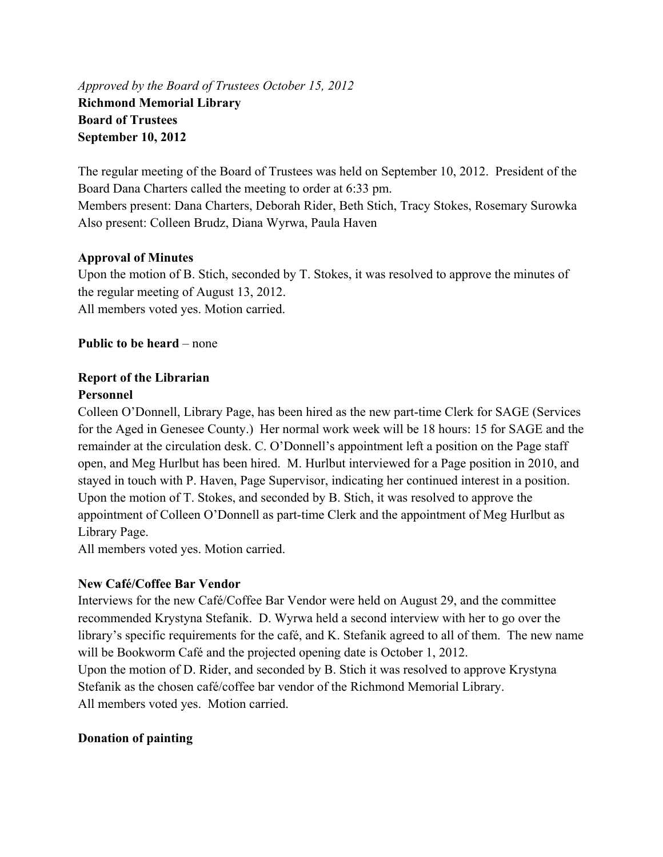*Approved by the Board of Trustees October 15, 2012*  **Richmond Memorial Library Board of Trustees September 10, 2012** 

The regular meeting of the Board of Trustees was held on September 10, 2012. President of the Board Dana Charters called the meeting to order at 6:33 pm. Members present: Dana Charters, Deborah Rider, Beth Stich, Tracy Stokes, Rosemary Surowka

Also present: Colleen Brudz, Diana Wyrwa, Paula Haven

### **Approval of Minutes**

Upon the motion of B. Stich, seconded by T. Stokes, it was resolved to approve the minutes of the regular meeting of August 13, 2012. All members voted yes. Motion carried.

**Public to be heard** – none

# **Report of the Librarian**

## **Personnel**

Colleen O'Donnell, Library Page, has been hired as the new part-time Clerk for SAGE (Services for the Aged in Genesee County.) Her normal work week will be 18 hours: 15 for SAGE and the remainder at the circulation desk. C. O'Donnell's appointment left a position on the Page staff open, and Meg Hurlbut has been hired. M. Hurlbut interviewed for a Page position in 2010, and stayed in touch with P. Haven, Page Supervisor, indicating her continued interest in a position. Upon the motion of T. Stokes, and seconded by B. Stich, it was resolved to approve the appointment of Colleen O'Donnell as part-time Clerk and the appointment of Meg Hurlbut as Library Page.

All members voted yes. Motion carried.

# **New Café/Coffee Bar Vendor**

Interviews for the new Café/Coffee Bar Vendor were held on August 29, and the committee recommended Krystyna Stefanik. D. Wyrwa held a second interview with her to go over the library's specific requirements for the café, and K. Stefanik agreed to all of them. The new name will be Bookworm Café and the projected opening date is October 1, 2012. Upon the motion of D. Rider, and seconded by B. Stich it was resolved to approve Krystyna Stefanik as the chosen café/coffee bar vendor of the Richmond Memorial Library. All members voted yes. Motion carried.

# **Donation of painting**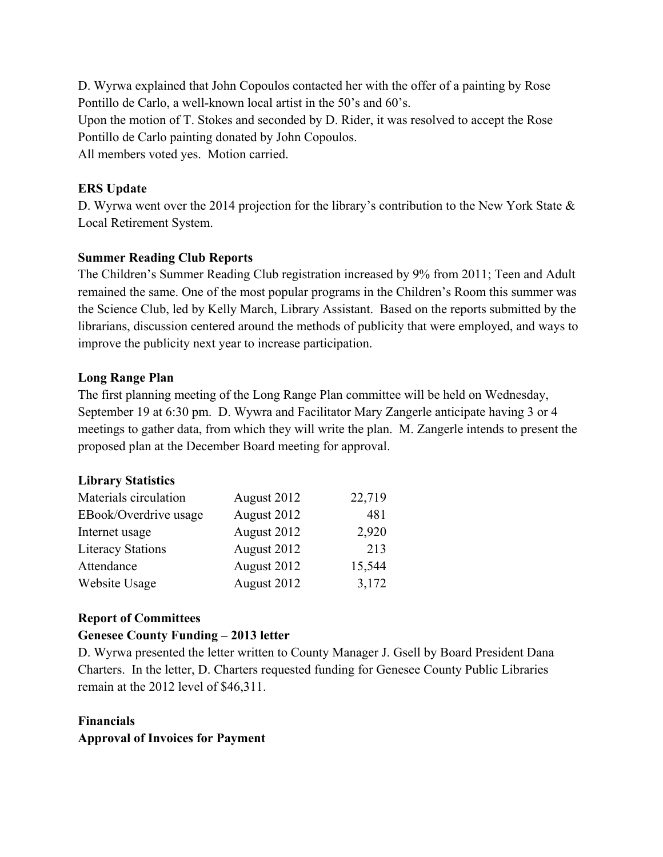D. Wyrwa explained that John Copoulos contacted her with the offer of a painting by Rose Pontillo de Carlo, a well-known local artist in the 50's and 60's.

Upon the motion of T. Stokes and seconded by D. Rider, it was resolved to accept the Rose Pontillo de Carlo painting donated by John Copoulos.

All members voted yes. Motion carried.

# **ERS Update**

D. Wyrwa went over the 2014 projection for the library's contribution to the New York State & Local Retirement System.

# **Summer Reading Club Reports**

The Children's Summer Reading Club registration increased by 9% from 2011; Teen and Adult remained the same. One of the most popular programs in the Children's Room this summer was the Science Club, led by Kelly March, Library Assistant. Based on the reports submitted by the librarians, discussion centered around the methods of publicity that were employed, and ways to improve the publicity next year to increase participation.

# **Long Range Plan**

The first planning meeting of the Long Range Plan committee will be held on Wednesday, September 19 at 6:30 pm. D. Wywra and Facilitator Mary Zangerle anticipate having 3 or 4 meetings to gather data, from which they will write the plan. M. Zangerle intends to present the proposed plan at the December Board meeting for approval.

# **Library Statistics**

| Materials circulation    | August 2012 | 22,719 |
|--------------------------|-------------|--------|
| EBook/Overdrive usage    | August 2012 | 481    |
| Internet usage           | August 2012 | 2,920  |
| <b>Literacy Stations</b> | August 2012 | 213    |
| Attendance               | August 2012 | 15,544 |
| Website Usage            | August 2012 | 3,172  |

# **Report of Committees**

# **Genesee County Funding – 2013 letter**

D. Wyrwa presented the letter written to County Manager J. Gsell by Board President Dana Charters. In the letter, D. Charters requested funding for Genesee County Public Libraries remain at the 2012 level of \$46,311.

# **Financials Approval of Invoices for Payment**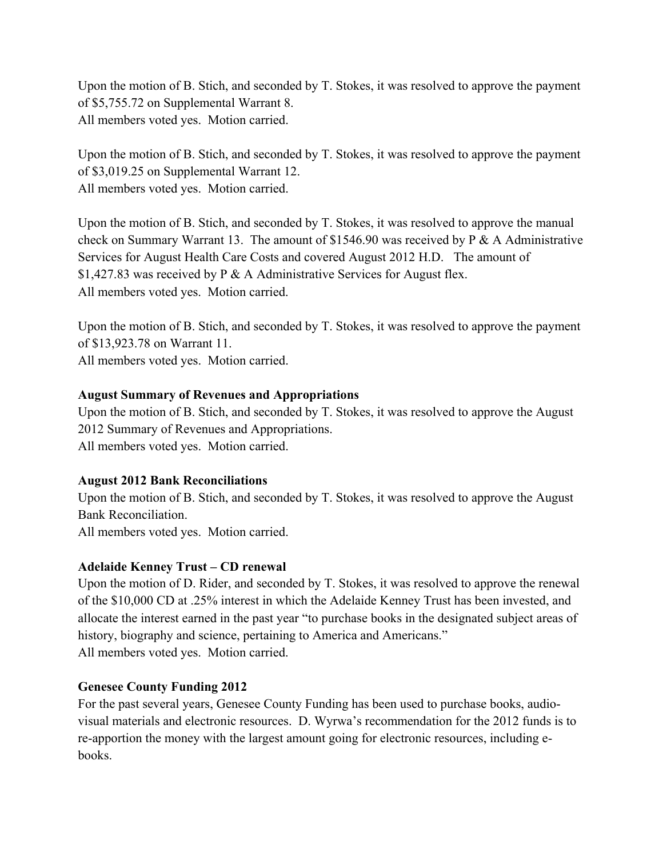Upon the motion of B. Stich, and seconded by T. Stokes, it was resolved to approve the payment of \$5,755.72 on Supplemental Warrant 8. All members voted yes. Motion carried.

Upon the motion of B. Stich, and seconded by T. Stokes, it was resolved to approve the payment of \$3,019.25 on Supplemental Warrant 12. All members voted yes. Motion carried.

Upon the motion of B. Stich, and seconded by T. Stokes, it was resolved to approve the manual check on Summary Warrant 13. The amount of \$1546.90 was received by P & A Administrative Services for August Health Care Costs and covered August 2012 H.D. The amount of \$1,427.83 was received by P & A Administrative Services for August flex. All members voted yes. Motion carried.

Upon the motion of B. Stich, and seconded by T. Stokes, it was resolved to approve the payment of \$13,923.78 on Warrant 11. All members voted yes. Motion carried.

### **August Summary of Revenues and Appropriations**

Upon the motion of B. Stich, and seconded by T. Stokes, it was resolved to approve the August 2012 Summary of Revenues and Appropriations. All members voted yes. Motion carried.

#### **August 2012 Bank Reconciliations**

Upon the motion of B. Stich, and seconded by T. Stokes, it was resolved to approve the August Bank Reconciliation. All members voted yes. Motion carried.

# **Adelaide Kenney Trust – CD renewal**

Upon the motion of D. Rider, and seconded by T. Stokes, it was resolved to approve the renewal of the \$10,000 CD at .25% interest in which the Adelaide Kenney Trust has been invested, and allocate the interest earned in the past year "to purchase books in the designated subject areas of history, biography and science, pertaining to America and Americans." All members voted yes. Motion carried.

# **Genesee County Funding 2012**

For the past several years, Genesee County Funding has been used to purchase books, audiovisual materials and electronic resources. D. Wyrwa's recommendation for the 2012 funds is to re-apportion the money with the largest amount going for electronic resources, including ebooks.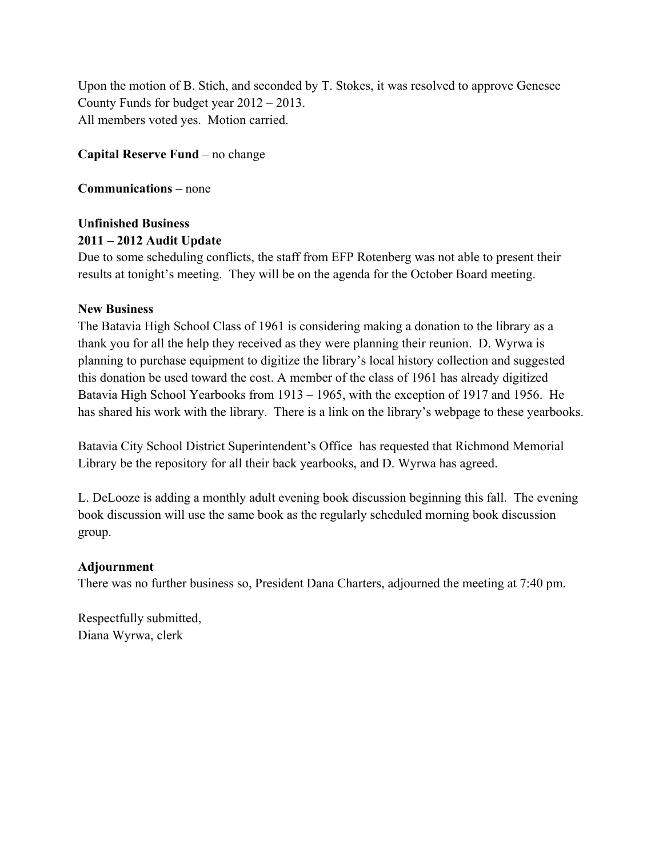Upon the motion of B. Stich, and seconded by T. Stokes, it was resolved to approve Genesee County Funds for budget year 2012 – 2013. All members voted yes. Motion carried.

**Capital Reserve Fund** – no change

**Communications** – none

# **Unfinished Business 2011 – 2012 Audit Update**

Due to some scheduling conflicts, the staff from EFP Rotenberg was not able to present their results at tonight's meeting. They will be on the agenda for the October Board meeting.

# **New Business**

The Batavia High School Class of 1961 is considering making a donation to the library as a thank you for all the help they received as they were planning their reunion. D. Wyrwa is planning to purchase equipment to digitize the library's local history collection and suggested this donation be used toward the cost. A member of the class of 1961 has already digitized Batavia High School Yearbooks from 1913 – 1965, with the exception of 1917 and 1956. He has shared his work with the library. There is a link on the library's webpage to these yearbooks.

Batavia City School District Superintendent's Office has requested that Richmond Memorial Library be the repository for all their back yearbooks, and D. Wyrwa has agreed.

L. DeLooze is adding a monthly adult evening book discussion beginning this fall. The evening book discussion will use the same book as the regularly scheduled morning book discussion group.

# **Adjournment**

There was no further business so, President Dana Charters, adjourned the meeting at 7:40 pm.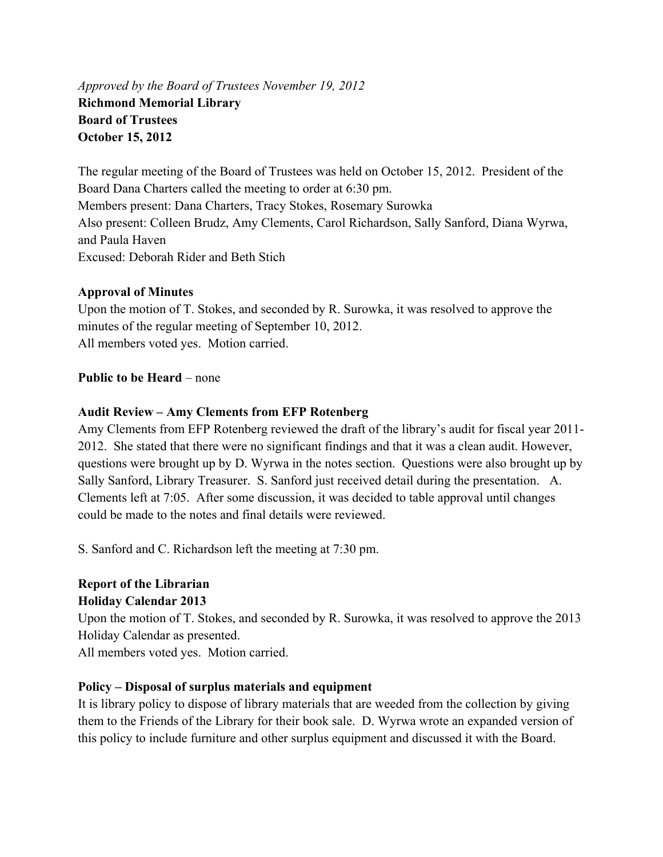*Approved by the Board of Trustees November 19, 2012*  **Richmond Memorial Library Board of Trustees October 15, 2012** 

The regular meeting of the Board of Trustees was held on October 15, 2012. President of the Board Dana Charters called the meeting to order at 6:30 pm. Members present: Dana Charters, Tracy Stokes, Rosemary Surowka Also present: Colleen Brudz, Amy Clements, Carol Richardson, Sally Sanford, Diana Wyrwa, and Paula Haven Excused: Deborah Rider and Beth Stich

### **Approval of Minutes**

Upon the motion of T. Stokes, and seconded by R. Surowka, it was resolved to approve the minutes of the regular meeting of September 10, 2012. All members voted yes. Motion carried.

### **Public to be Heard** – none

### **Audit Review – Amy Clements from EFP Rotenberg**

Amy Clements from EFP Rotenberg reviewed the draft of the library's audit for fiscal year 2011- 2012. She stated that there were no significant findings and that it was a clean audit. However, questions were brought up by D. Wyrwa in the notes section. Questions were also brought up by Sally Sanford, Library Treasurer. S. Sanford just received detail during the presentation. A. Clements left at 7:05. After some discussion, it was decided to table approval until changes could be made to the notes and final details were reviewed.

S. Sanford and C. Richardson left the meeting at 7:30 pm.

# **Report of the Librarian Holiday Calendar 2013**

Upon the motion of T. Stokes, and seconded by R. Surowka, it was resolved to approve the 2013 Holiday Calendar as presented.

All members voted yes. Motion carried.

# **Policy – Disposal of surplus materials and equipment**

It is library policy to dispose of library materials that are weeded from the collection by giving them to the Friends of the Library for their book sale. D. Wyrwa wrote an expanded version of this policy to include furniture and other surplus equipment and discussed it with the Board.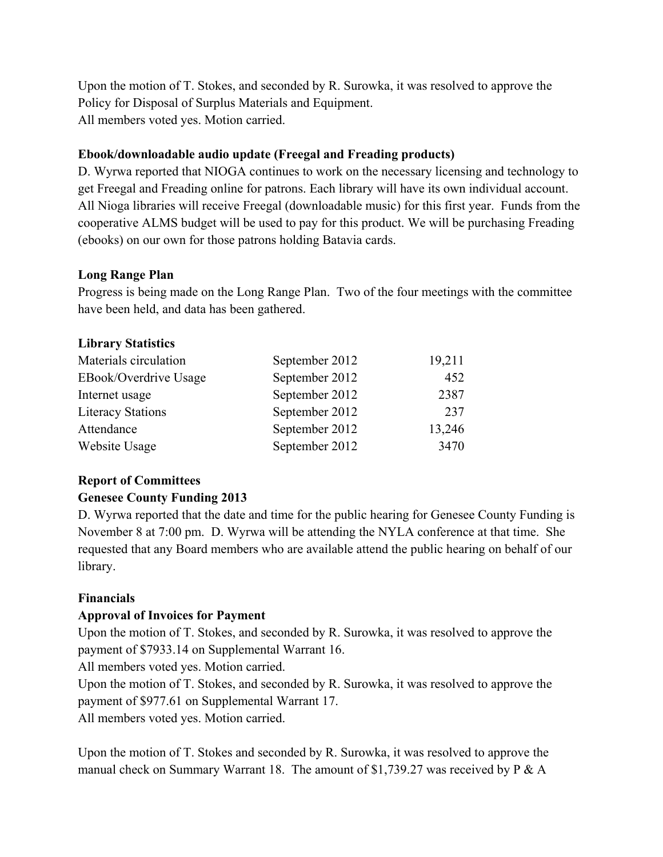Upon the motion of T. Stokes, and seconded by R. Surowka, it was resolved to approve the Policy for Disposal of Surplus Materials and Equipment. All members voted yes. Motion carried.

# **Ebook/downloadable audio update (Freegal and Freading products)**

D. Wyrwa reported that NIOGA continues to work on the necessary licensing and technology to get Freegal and Freading online for patrons. Each library will have its own individual account. All Nioga libraries will receive Freegal (downloadable music) for this first year. Funds from the cooperative ALMS budget will be used to pay for this product. We will be purchasing Freading (ebooks) on our own for those patrons holding Batavia cards.

# **Long Range Plan**

**Library Statistics** 

Progress is being made on the Long Range Plan. Two of the four meetings with the committee have been held, and data has been gathered.

| Library Statistics       |                |        |
|--------------------------|----------------|--------|
| Materials circulation    | September 2012 | 19,211 |
| EBook/Overdrive Usage    | September 2012 | 452    |
| Internet usage           | September 2012 | 2387   |
| <b>Literacy Stations</b> | September 2012 | 237    |
| Attendance               | September 2012 | 13,246 |
| Website Usage            | September 2012 | 3470   |
|                          |                |        |

# **Report of Committees**

# **Genesee County Funding 2013**

D. Wyrwa reported that the date and time for the public hearing for Genesee County Funding is November 8 at 7:00 pm. D. Wyrwa will be attending the NYLA conference at that time. She requested that any Board members who are available attend the public hearing on behalf of our library.

# **Financials**

# **Approval of Invoices for Payment**

Upon the motion of T. Stokes, and seconded by R. Surowka, it was resolved to approve the payment of \$7933.14 on Supplemental Warrant 16.

All members voted yes. Motion carried.

Upon the motion of T. Stokes, and seconded by R. Surowka, it was resolved to approve the payment of \$977.61 on Supplemental Warrant 17.

All members voted yes. Motion carried.

Upon the motion of T. Stokes and seconded by R. Surowka, it was resolved to approve the manual check on Summary Warrant 18. The amount of \$1,739.27 was received by P & A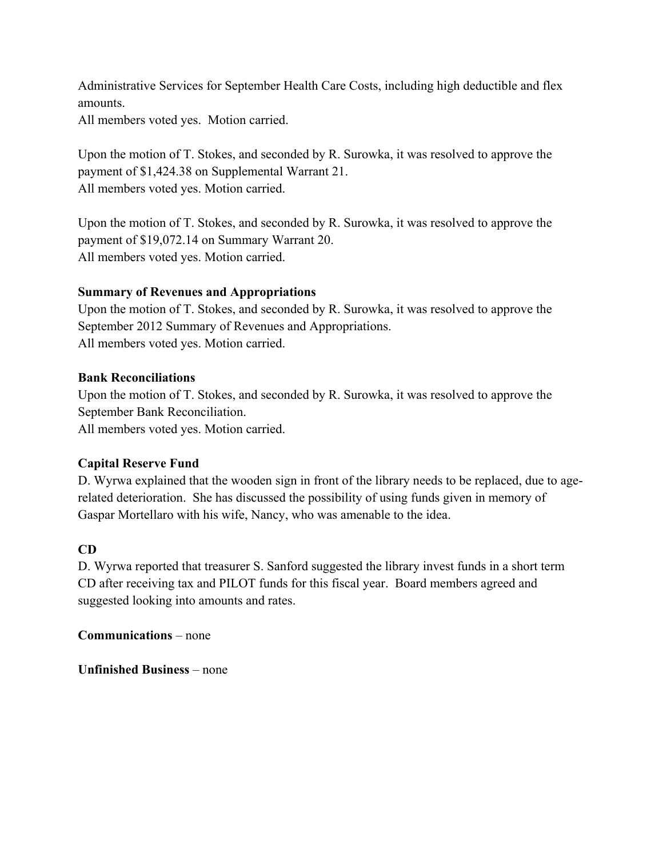Administrative Services for September Health Care Costs, including high deductible and flex amounts.

All members voted yes. Motion carried.

Upon the motion of T. Stokes, and seconded by R. Surowka, it was resolved to approve the payment of \$1,424.38 on Supplemental Warrant 21. All members voted yes. Motion carried.

Upon the motion of T. Stokes, and seconded by R. Surowka, it was resolved to approve the payment of \$19,072.14 on Summary Warrant 20. All members voted yes. Motion carried.

# **Summary of Revenues and Appropriations**

Upon the motion of T. Stokes, and seconded by R. Surowka, it was resolved to approve the September 2012 Summary of Revenues and Appropriations. All members voted yes. Motion carried.

### **Bank Reconciliations**

Upon the motion of T. Stokes, and seconded by R. Surowka, it was resolved to approve the September Bank Reconciliation.

All members voted yes. Motion carried.

# **Capital Reserve Fund**

D. Wyrwa explained that the wooden sign in front of the library needs to be replaced, due to agerelated deterioration. She has discussed the possibility of using funds given in memory of Gaspar Mortellaro with his wife, Nancy, who was amenable to the idea.

# **CD**

D. Wyrwa reported that treasurer S. Sanford suggested the library invest funds in a short term CD after receiving tax and PILOT funds for this fiscal year. Board members agreed and suggested looking into amounts and rates.

**Communications** – none

**Unfinished Business** – none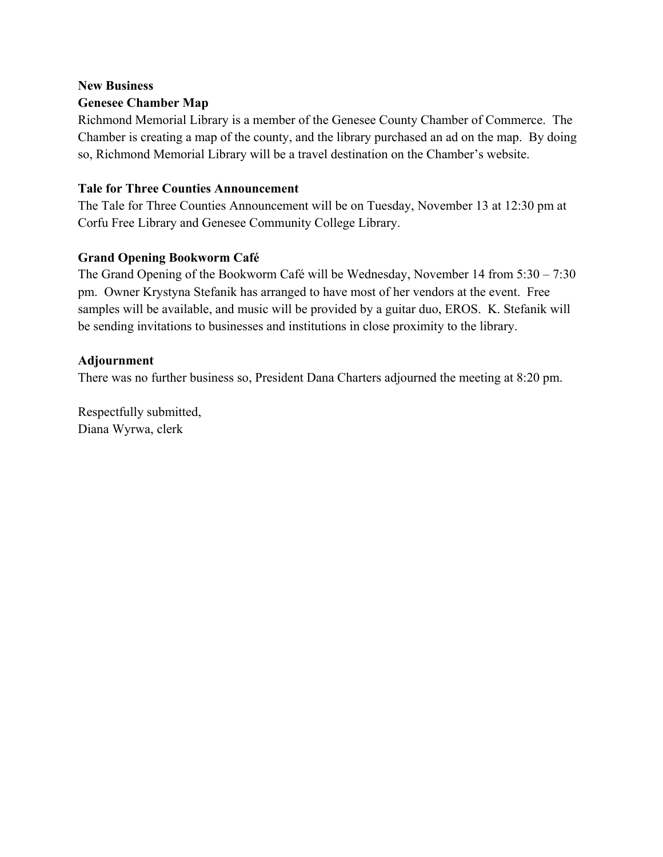# **New Business Genesee Chamber Map**

Richmond Memorial Library is a member of the Genesee County Chamber of Commerce. The Chamber is creating a map of the county, and the library purchased an ad on the map. By doing so, Richmond Memorial Library will be a travel destination on the Chamber's website.

# **Tale for Three Counties Announcement**

The Tale for Three Counties Announcement will be on Tuesday, November 13 at 12:30 pm at Corfu Free Library and Genesee Community College Library.

# **Grand Opening Bookworm Café**

The Grand Opening of the Bookworm Café will be Wednesday, November 14 from 5:30 – 7:30 pm. Owner Krystyna Stefanik has arranged to have most of her vendors at the event. Free samples will be available, and music will be provided by a guitar duo, EROS. K. Stefanik will be sending invitations to businesses and institutions in close proximity to the library.

# **Adjournment**

There was no further business so, President Dana Charters adjourned the meeting at 8:20 pm.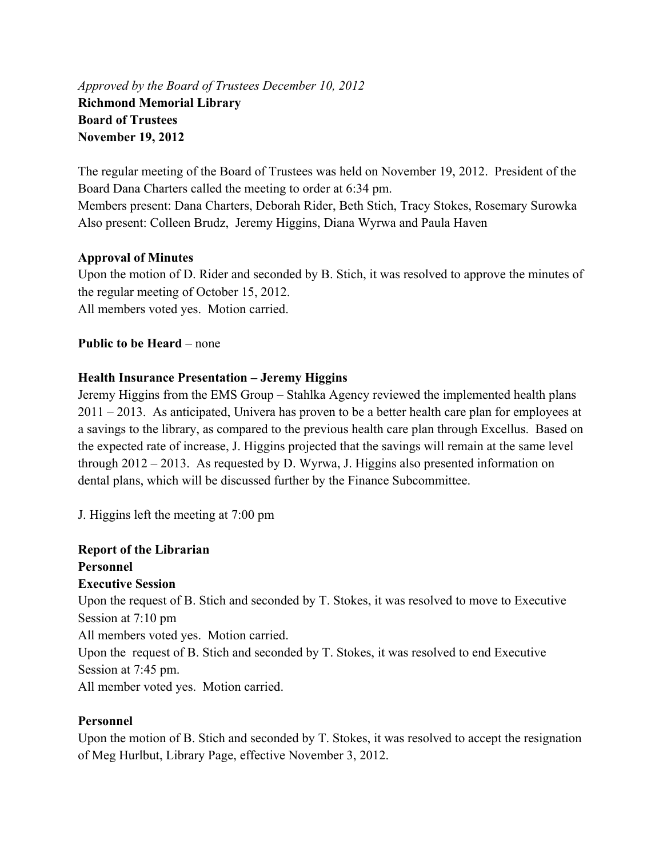*Approved by the Board of Trustees December 10, 2012*  **Richmond Memorial Library Board of Trustees November 19, 2012** 

The regular meeting of the Board of Trustees was held on November 19, 2012. President of the Board Dana Charters called the meeting to order at 6:34 pm. Members present: Dana Charters, Deborah Rider, Beth Stich, Tracy Stokes, Rosemary Surowka Also present: Colleen Brudz, Jeremy Higgins, Diana Wyrwa and Paula Haven

# **Approval of Minutes**

Upon the motion of D. Rider and seconded by B. Stich, it was resolved to approve the minutes of the regular meeting of October 15, 2012. All members voted yes. Motion carried.

**Public to be Heard** – none

# **Health Insurance Presentation – Jeremy Higgins**

Jeremy Higgins from the EMS Group – Stahlka Agency reviewed the implemented health plans 2011 – 2013. As anticipated, Univera has proven to be a better health care plan for employees at a savings to the library, as compared to the previous health care plan through Excellus. Based on the expected rate of increase, J. Higgins projected that the savings will remain at the same level through 2012 – 2013. As requested by D. Wyrwa, J. Higgins also presented information on dental plans, which will be discussed further by the Finance Subcommittee.

J. Higgins left the meeting at 7:00 pm

# **Report of the Librarian Personnel**

#### **Executive Session**

Upon the request of B. Stich and seconded by T. Stokes, it was resolved to move to Executive Session at 7:10 pm

All members voted yes. Motion carried.

Upon the request of B. Stich and seconded by T. Stokes, it was resolved to end Executive Session at 7:45 pm.

All member voted yes. Motion carried.

# **Personnel**

Upon the motion of B. Stich and seconded by T. Stokes, it was resolved to accept the resignation of Meg Hurlbut, Library Page, effective November 3, 2012.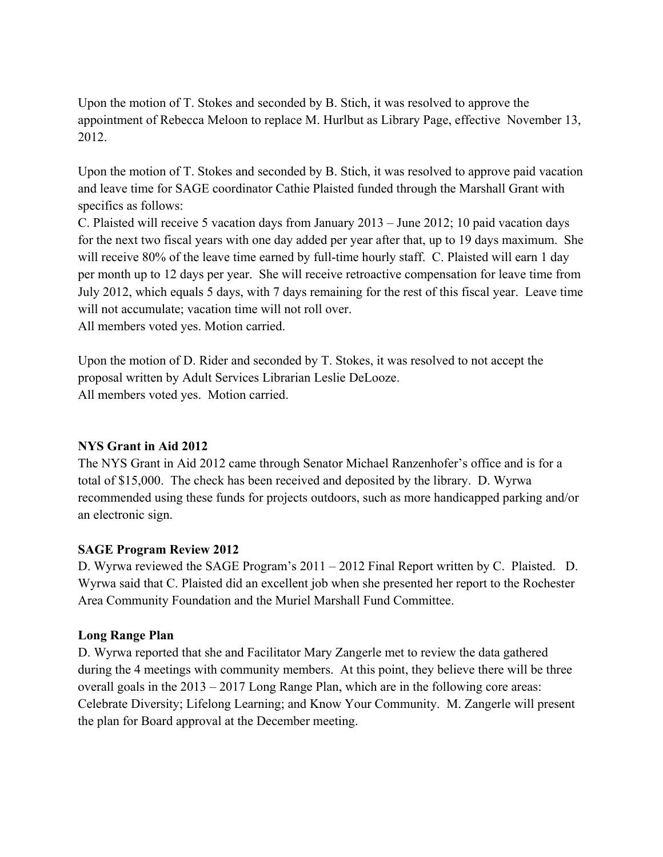Upon the motion of T. Stokes and seconded by B. Stich, it was resolved to approve the appointment of Rebecca Meloon to replace M. Hurlbut as Library Page, effective November 13, 2012.

Upon the motion of T. Stokes and seconded by B. Stich, it was resolved to approve paid vacation and leave time for SAGE coordinator Cathie Plaisted funded through the Marshall Grant with specifics as follows:

C. Plaisted will receive 5 vacation days from January 2013 – June 2012; 10 paid vacation days for the next two fiscal years with one day added per year after that, up to 19 days maximum. She will receive 80% of the leave time earned by full-time hourly staff. C. Plaisted will earn 1 day per month up to 12 days per year. She will receive retroactive compensation for leave time from July 2012, which equals 5 days, with 7 days remaining for the rest of this fiscal year. Leave time will not accumulate; vacation time will not roll over.

All members voted yes. Motion carried.

Upon the motion of D. Rider and seconded by T. Stokes, it was resolved to not accept the proposal written by Adult Services Librarian Leslie DeLooze. All members voted yes. Motion carried.

#### **NYS Grant in Aid 2012**

The NYS Grant in Aid 2012 came through Senator Michael Ranzenhofer's office and is for a total of \$15,000. The check has been received and deposited by the library. D. Wyrwa recommended using these funds for projects outdoors, such as more handicapped parking and/or an electronic sign.

#### **SAGE Program Review 2012**

D. Wyrwa reviewed the SAGE Program's 2011 – 2012 Final Report written by C. Plaisted. D. Wyrwa said that C. Plaisted did an excellent job when she presented her report to the Rochester Area Community Foundation and the Muriel Marshall Fund Committee.

#### **Long Range Plan**

D. Wyrwa reported that she and Facilitator Mary Zangerle met to review the data gathered during the 4 meetings with community members. At this point, they believe there will be three overall goals in the 2013 – 2017 Long Range Plan, which are in the following core areas: Celebrate Diversity; Lifelong Learning; and Know Your Community. M. Zangerle will present the plan for Board approval at the December meeting.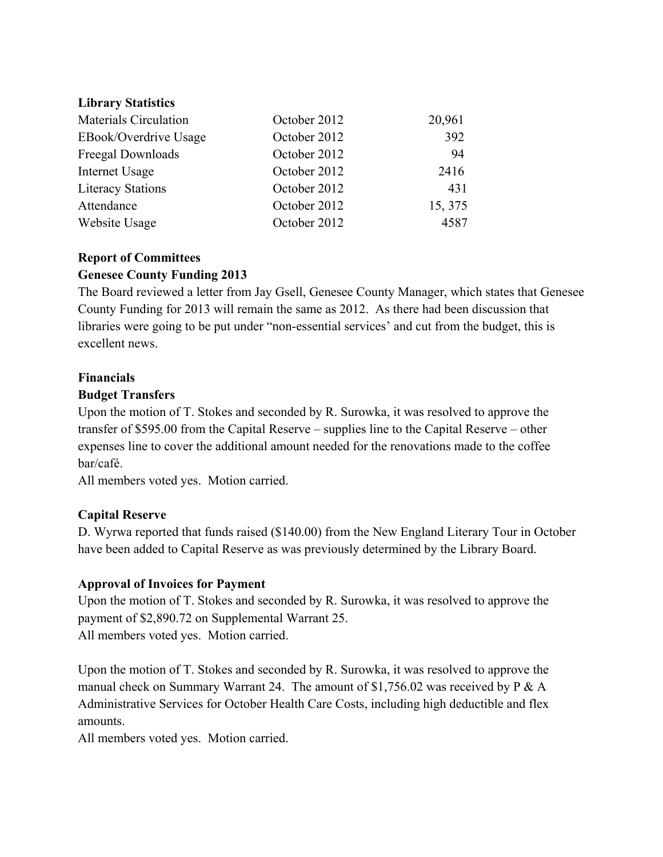#### **Library Statistics**

| <b>Materials Circulation</b> | October 2012 | 20,961  |
|------------------------------|--------------|---------|
| EBook/Overdrive Usage        | October 2012 | 392     |
| Freegal Downloads            | October 2012 | 94      |
| Internet Usage               | October 2012 | 2416    |
| <b>Literacy Stations</b>     | October 2012 | 431     |
| Attendance                   | October 2012 | 15, 375 |
| Website Usage                | October 2012 | 4587    |

# **Report of Committees Genesee County Funding 2013**

The Board reviewed a letter from Jay Gsell, Genesee County Manager, which states that Genesee County Funding for 2013 will remain the same as 2012. As there had been discussion that libraries were going to be put under "non-essential services' and cut from the budget, this is excellent news.

# **Financials**

### **Budget Transfers**

Upon the motion of T. Stokes and seconded by R. Surowka, it was resolved to approve the transfer of \$595.00 from the Capital Reserve – supplies line to the Capital Reserve – other expenses line to cover the additional amount needed for the renovations made to the coffee bar/café.

All members voted yes. Motion carried.

# **Capital Reserve**

D. Wyrwa reported that funds raised (\$140.00) from the New England Literary Tour in October have been added to Capital Reserve as was previously determined by the Library Board.

# **Approval of Invoices for Payment**

Upon the motion of T. Stokes and seconded by R. Surowka, it was resolved to approve the payment of \$2,890.72 on Supplemental Warrant 25. All members voted yes. Motion carried.

Upon the motion of T. Stokes and seconded by R. Surowka, it was resolved to approve the manual check on Summary Warrant 24. The amount of \$1,756.02 was received by P & A Administrative Services for October Health Care Costs, including high deductible and flex amounts.

All members voted yes. Motion carried.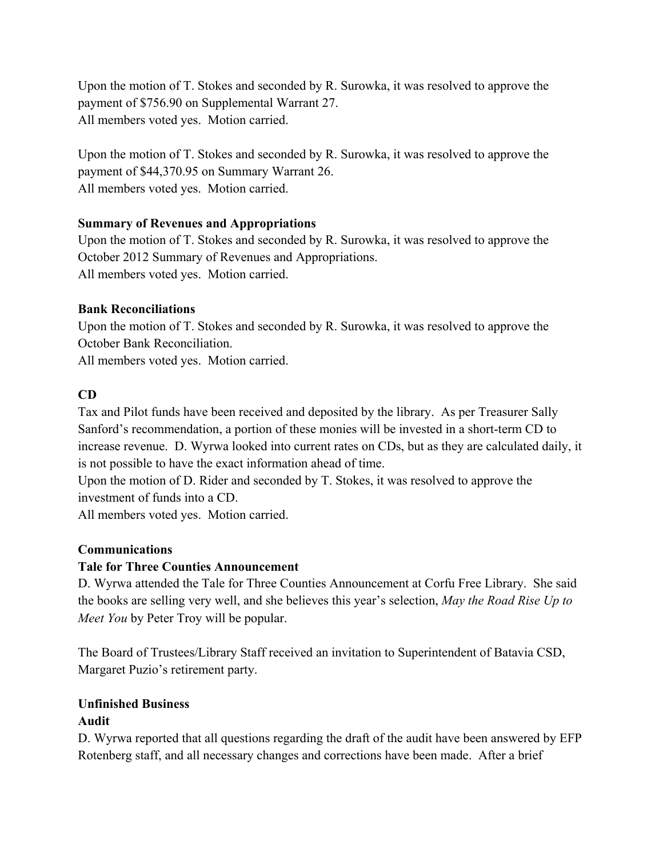Upon the motion of T. Stokes and seconded by R. Surowka, it was resolved to approve the payment of \$756.90 on Supplemental Warrant 27. All members voted yes. Motion carried.

Upon the motion of T. Stokes and seconded by R. Surowka, it was resolved to approve the payment of \$44,370.95 on Summary Warrant 26. All members voted yes. Motion carried.

# **Summary of Revenues and Appropriations**

Upon the motion of T. Stokes and seconded by R. Surowka, it was resolved to approve the October 2012 Summary of Revenues and Appropriations. All members voted yes. Motion carried.

# **Bank Reconciliations**

Upon the motion of T. Stokes and seconded by R. Surowka, it was resolved to approve the October Bank Reconciliation.

All members voted yes. Motion carried.

# **CD**

Tax and Pilot funds have been received and deposited by the library. As per Treasurer Sally Sanford's recommendation, a portion of these monies will be invested in a short-term CD to increase revenue. D. Wyrwa looked into current rates on CDs, but as they are calculated daily, it is not possible to have the exact information ahead of time.

Upon the motion of D. Rider and seconded by T. Stokes, it was resolved to approve the investment of funds into a CD.

All members voted yes. Motion carried.

# **Communications**

# **Tale for Three Counties Announcement**

D. Wyrwa attended the Tale for Three Counties Announcement at Corfu Free Library. She said the books are selling very well, and she believes this year's selection, *May the Road Rise Up to Meet You* by Peter Troy will be popular.

The Board of Trustees/Library Staff received an invitation to Superintendent of Batavia CSD, Margaret Puzio's retirement party.

# **Unfinished Business Audit**

D. Wyrwa reported that all questions regarding the draft of the audit have been answered by EFP Rotenberg staff, and all necessary changes and corrections have been made. After a brief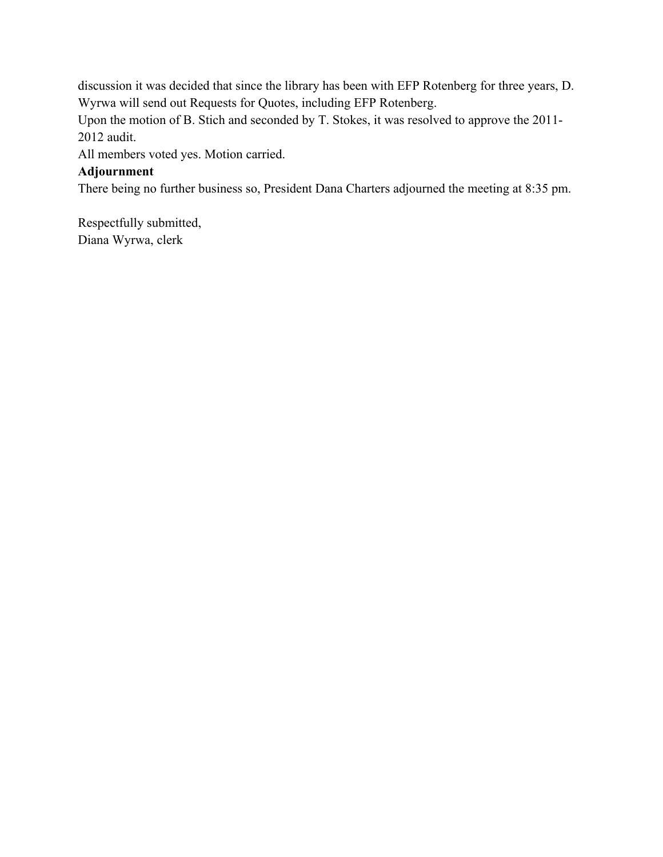discussion it was decided that since the library has been with EFP Rotenberg for three years, D. Wyrwa will send out Requests for Quotes, including EFP Rotenberg.

Upon the motion of B. Stich and seconded by T. Stokes, it was resolved to approve the 2011- 2012 audit.

All members voted yes. Motion carried.

# **Adjournment**

There being no further business so, President Dana Charters adjourned the meeting at 8:35 pm.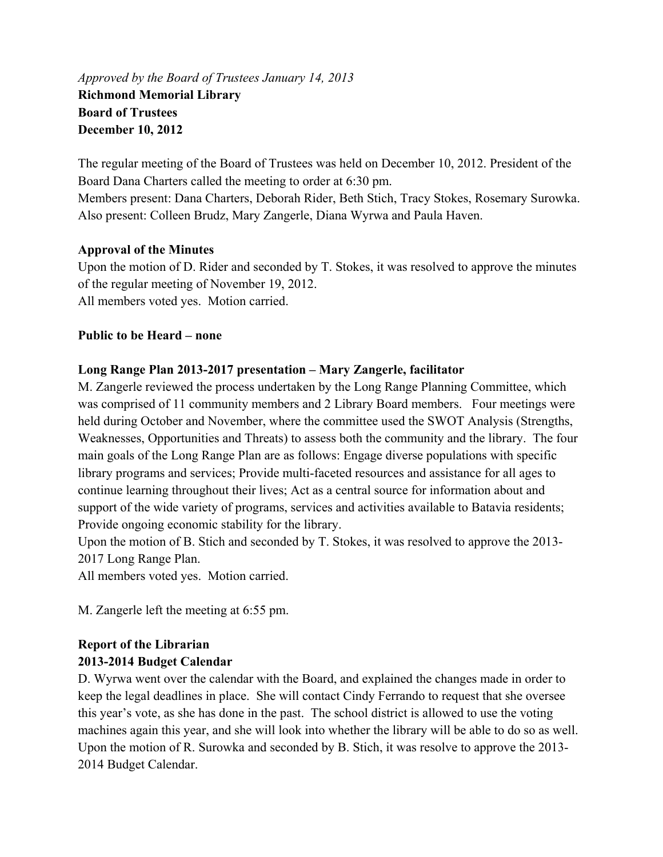# *Approved by the Board of Trustees January 14, 2013*  **Richmond Memorial Library Board of Trustees December 10, 2012**

The regular meeting of the Board of Trustees was held on December 10, 2012. President of the Board Dana Charters called the meeting to order at 6:30 pm.

Members present: Dana Charters, Deborah Rider, Beth Stich, Tracy Stokes, Rosemary Surowka. Also present: Colleen Brudz, Mary Zangerle, Diana Wyrwa and Paula Haven.

# **Approval of the Minutes**

Upon the motion of D. Rider and seconded by T. Stokes, it was resolved to approve the minutes of the regular meeting of November 19, 2012. All members voted yes. Motion carried.

# **Public to be Heard – none**

# **Long Range Plan 2013-2017 presentation – Mary Zangerle, facilitator**

M. Zangerle reviewed the process undertaken by the Long Range Planning Committee, which was comprised of 11 community members and 2 Library Board members. Four meetings were held during October and November, where the committee used the SWOT Analysis (Strengths, Weaknesses, Opportunities and Threats) to assess both the community and the library. The four main goals of the Long Range Plan are as follows: Engage diverse populations with specific library programs and services; Provide multi-faceted resources and assistance for all ages to continue learning throughout their lives; Act as a central source for information about and support of the wide variety of programs, services and activities available to Batavia residents; Provide ongoing economic stability for the library.

Upon the motion of B. Stich and seconded by T. Stokes, it was resolved to approve the 2013- 2017 Long Range Plan.

All members voted yes. Motion carried.

M. Zangerle left the meeting at 6:55 pm.

# **Report of the Librarian 2013-2014 Budget Calendar**

D. Wyrwa went over the calendar with the Board, and explained the changes made in order to keep the legal deadlines in place. She will contact Cindy Ferrando to request that she oversee this year's vote, as she has done in the past. The school district is allowed to use the voting machines again this year, and she will look into whether the library will be able to do so as well. Upon the motion of R. Surowka and seconded by B. Stich, it was resolve to approve the 2013- 2014 Budget Calendar.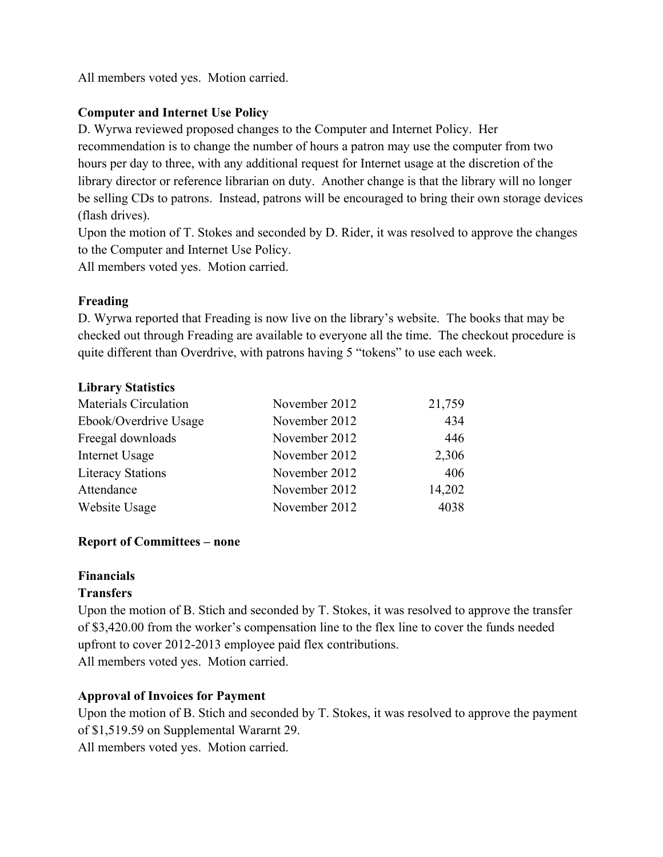All members voted yes. Motion carried.

# **Computer and Internet Use Policy**

D. Wyrwa reviewed proposed changes to the Computer and Internet Policy. Her recommendation is to change the number of hours a patron may use the computer from two hours per day to three, with any additional request for Internet usage at the discretion of the library director or reference librarian on duty. Another change is that the library will no longer be selling CDs to patrons. Instead, patrons will be encouraged to bring their own storage devices (flash drives).

Upon the motion of T. Stokes and seconded by D. Rider, it was resolved to approve the changes to the Computer and Internet Use Policy.

All members voted yes. Motion carried.

# **Freading**

D. Wyrwa reported that Freading is now live on the library's website. The books that may be checked out through Freading are available to everyone all the time. The checkout procedure is quite different than Overdrive, with patrons having 5 "tokens" to use each week.

# **Library Statistics**

| <b>Materials Circulation</b> | November 2012 | 21,759 |
|------------------------------|---------------|--------|
| Ebook/Overdrive Usage        | November 2012 | 434    |
| Freegal downloads            | November 2012 | 446    |
| Internet Usage               | November 2012 | 2,306  |
| <b>Literacy Stations</b>     | November 2012 | 406    |
| Attendance                   | November 2012 | 14,202 |
| Website Usage                | November 2012 | 4038   |

# **Report of Committees – none**

# **Financials**

# **Transfers**

Upon the motion of B. Stich and seconded by T. Stokes, it was resolved to approve the transfer of \$3,420.00 from the worker's compensation line to the flex line to cover the funds needed upfront to cover 2012-2013 employee paid flex contributions. All members voted yes. Motion carried.

# **Approval of Invoices for Payment**

Upon the motion of B. Stich and seconded by T. Stokes, it was resolved to approve the payment of \$1,519.59 on Supplemental Wararnt 29. All members voted yes. Motion carried.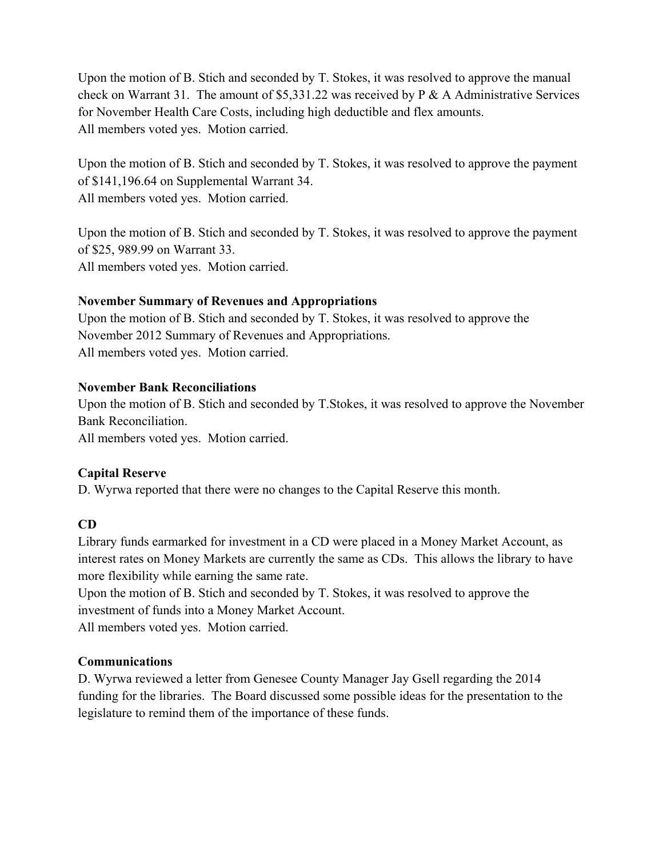Upon the motion of B. Stich and seconded by T. Stokes, it was resolved to approve the manual check on Warrant 31. The amount of \$5,331.22 was received by P & A Administrative Services for November Health Care Costs, including high deductible and flex amounts. All members voted yes. Motion carried.

Upon the motion of B. Stich and seconded by T. Stokes, it was resolved to approve the payment of \$141,196.64 on Supplemental Warrant 34. All members voted yes. Motion carried.

Upon the motion of B. Stich and seconded by T. Stokes, it was resolved to approve the payment of \$25, 989.99 on Warrant 33. All members voted yes. Motion carried.

# **November Summary of Revenues and Appropriations**

Upon the motion of B. Stich and seconded by T. Stokes, it was resolved to approve the November 2012 Summary of Revenues and Appropriations. All members voted yes. Motion carried.

# **November Bank Reconciliations**

Upon the motion of B. Stich and seconded by T.Stokes, it was resolved to approve the November Bank Reconciliation.

All members voted yes. Motion carried.

# **Capital Reserve**

D. Wyrwa reported that there were no changes to the Capital Reserve this month.

# **CD**

Library funds earmarked for investment in a CD were placed in a Money Market Account, as interest rates on Money Markets are currently the same as CDs. This allows the library to have more flexibility while earning the same rate.

Upon the motion of B. Stich and seconded by T. Stokes, it was resolved to approve the investment of funds into a Money Market Account. All members voted yes. Motion carried.

# **Communications**

D. Wyrwa reviewed a letter from Genesee County Manager Jay Gsell regarding the 2014 funding for the libraries. The Board discussed some possible ideas for the presentation to the legislature to remind them of the importance of these funds.